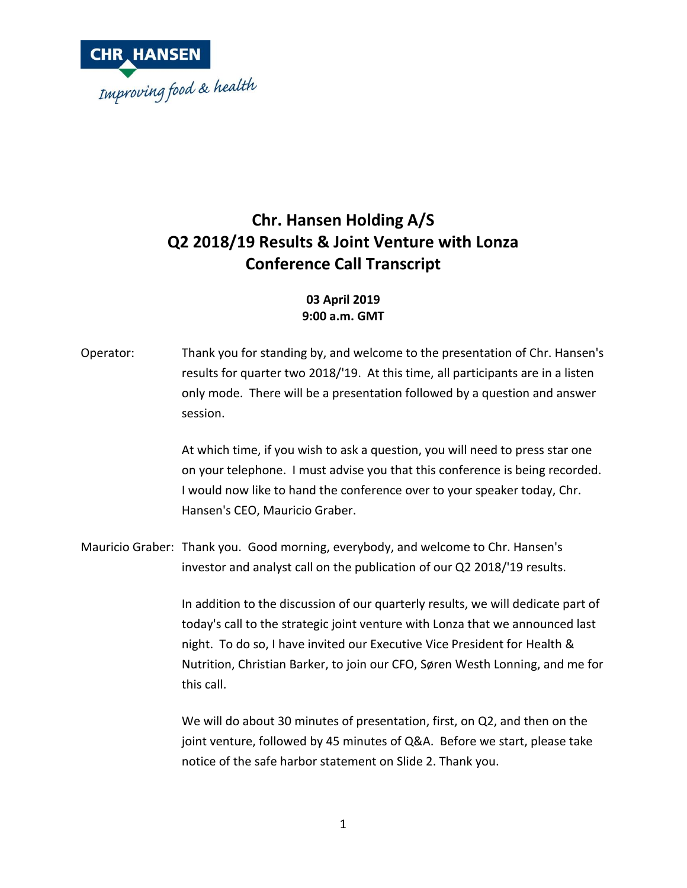

## **Chr. Hansen Holding A/S Q2 2018/19 Results & Joint Venture with Lonza Conference Call Transcript**

## **03 April 2019 9:00 a.m. GMT**

Operator: Thank you for standing by, and welcome to the presentation of Chr. Hansen's results for quarter two 2018/'19. At this time, all participants are in a listen only mode. There will be a presentation followed by a question and answer session.

> At which time, if you wish to ask a question, you will need to press star one on your telephone. I must advise you that this conference is being recorded. I would now like to hand the conference over to your speaker today, Chr. Hansen's CEO, Mauricio Graber.

Mauricio Graber: Thank you. Good morning, everybody, and welcome to Chr. Hansen's investor and analyst call on the publication of our Q2 2018/'19 results.

> In addition to the discussion of our quarterly results, we will dedicate part of today's call to the strategic joint venture with Lonza that we announced last night. To do so, I have invited our Executive Vice President for Health & Nutrition, Christian Barker, to join our CFO, Søren Westh Lonning, and me for this call.

We will do about 30 minutes of presentation, first, on Q2, and then on the joint venture, followed by 45 minutes of Q&A. Before we start, please take notice of the safe harbor statement on Slide 2. Thank you.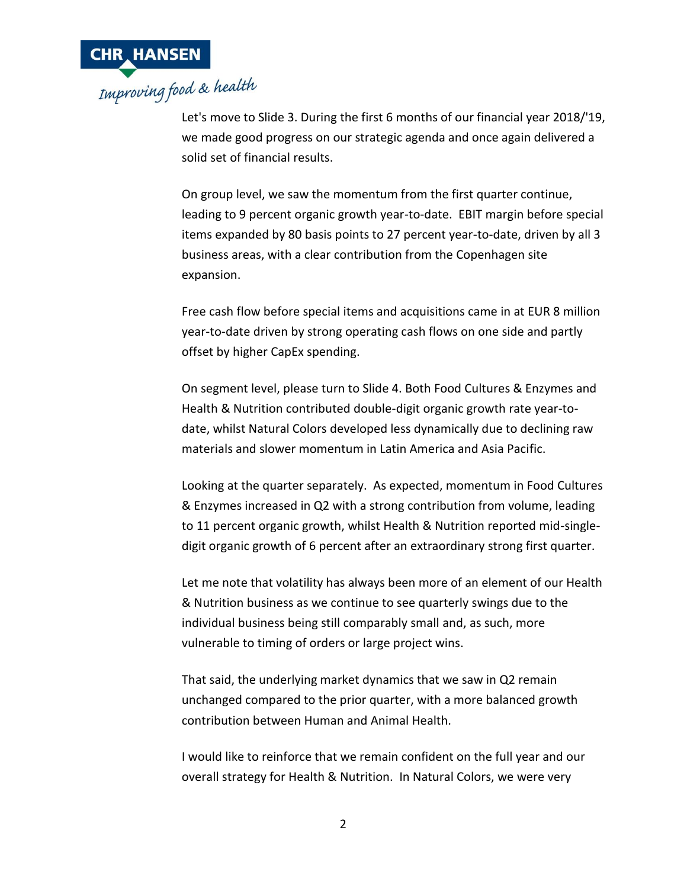

Let's move to Slide 3. During the first 6 months of our financial year 2018/'19, we made good progress on our strategic agenda and once again delivered a solid set of financial results.

On group level, we saw the momentum from the first quarter continue, leading to 9 percent organic growth year-to-date. EBIT margin before special items expanded by 80 basis points to 27 percent year-to-date, driven by all 3 business areas, with a clear contribution from the Copenhagen site expansion.

Free cash flow before special items and acquisitions came in at EUR 8 million year-to-date driven by strong operating cash flows on one side and partly offset by higher CapEx spending.

On segment level, please turn to Slide 4. Both Food Cultures & Enzymes and Health & Nutrition contributed double-digit organic growth rate year-todate, whilst Natural Colors developed less dynamically due to declining raw materials and slower momentum in Latin America and Asia Pacific.

Looking at the quarter separately. As expected, momentum in Food Cultures & Enzymes increased in Q2 with a strong contribution from volume, leading to 11 percent organic growth, whilst Health & Nutrition reported mid-singledigit organic growth of 6 percent after an extraordinary strong first quarter.

Let me note that volatility has always been more of an element of our Health & Nutrition business as we continue to see quarterly swings due to the individual business being still comparably small and, as such, more vulnerable to timing of orders or large project wins.

That said, the underlying market dynamics that we saw in Q2 remain unchanged compared to the prior quarter, with a more balanced growth contribution between Human and Animal Health.

I would like to reinforce that we remain confident on the full year and our overall strategy for Health & Nutrition. In Natural Colors, we were very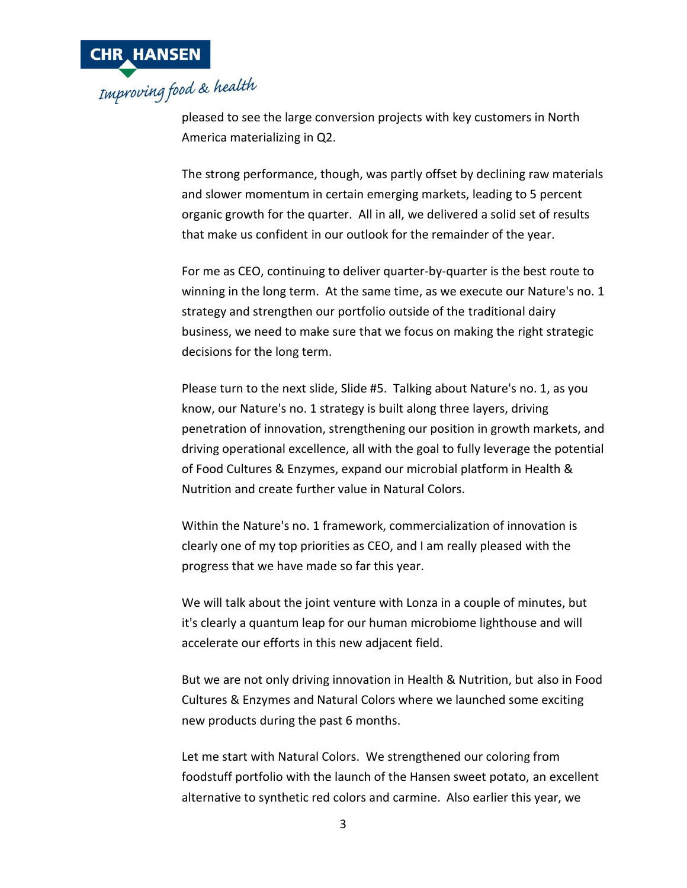

pleased to see the large conversion projects with key customers in North America materializing in Q2.

The strong performance, though, was partly offset by declining raw materials and slower momentum in certain emerging markets, leading to 5 percent organic growth for the quarter. All in all, we delivered a solid set of results that make us confident in our outlook for the remainder of the year.

For me as CEO, continuing to deliver quarter-by-quarter is the best route to winning in the long term. At the same time, as we execute our Nature's no. 1 strategy and strengthen our portfolio outside of the traditional dairy business, we need to make sure that we focus on making the right strategic decisions for the long term.

Please turn to the next slide, Slide #5. Talking about Nature's no. 1, as you know, our Nature's no. 1 strategy is built along three layers, driving penetration of innovation, strengthening our position in growth markets, and driving operational excellence, all with the goal to fully leverage the potential of Food Cultures & Enzymes, expand our microbial platform in Health & Nutrition and create further value in Natural Colors.

Within the Nature's no. 1 framework, commercialization of innovation is clearly one of my top priorities as CEO, and I am really pleased with the progress that we have made so far this year.

We will talk about the joint venture with Lonza in a couple of minutes, but it's clearly a quantum leap for our human microbiome lighthouse and will accelerate our efforts in this new adjacent field.

But we are not only driving innovation in Health & Nutrition, but also in Food Cultures & Enzymes and Natural Colors where we launched some exciting new products during the past 6 months.

Let me start with Natural Colors. We strengthened our coloring from foodstuff portfolio with the launch of the Hansen sweet potato, an excellent alternative to synthetic red colors and carmine. Also earlier this year, we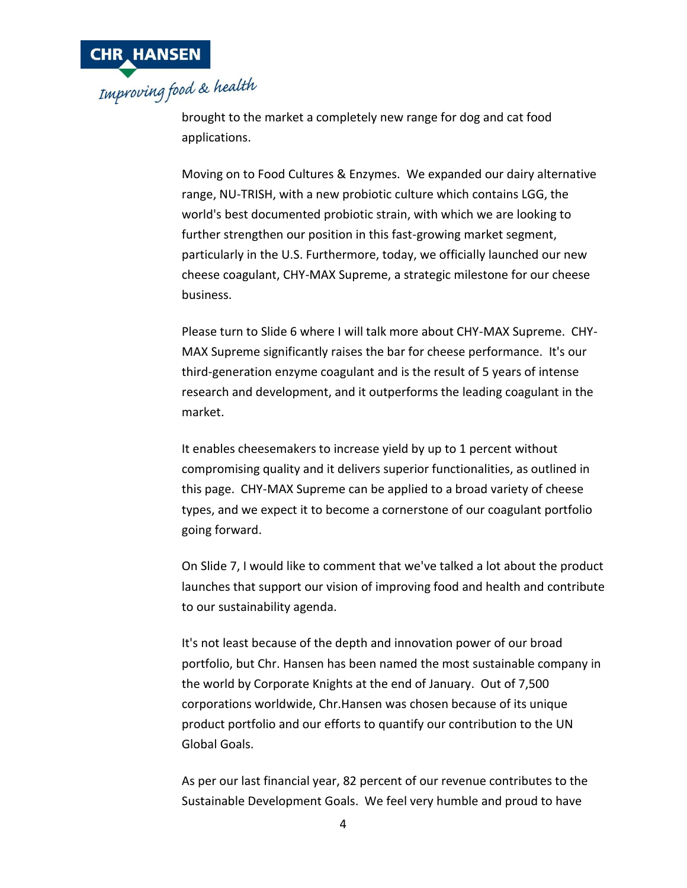

brought to the market a completely new range for dog and cat food applications.

Moving on to Food Cultures & Enzymes. We expanded our dairy alternative range, NU-TRISH, with a new probiotic culture which contains LGG, the world's best documented probiotic strain, with which we are looking to further strengthen our position in this fast-growing market segment, particularly in the U.S. Furthermore, today, we officially launched our new cheese coagulant, CHY-MAX Supreme, a strategic milestone for our cheese business.

Please turn to Slide 6 where I will talk more about CHY-MAX Supreme. CHY-MAX Supreme significantly raises the bar for cheese performance. It's our third-generation enzyme coagulant and is the result of 5 years of intense research and development, and it outperforms the leading coagulant in the market.

It enables cheesemakers to increase yield by up to 1 percent without compromising quality and it delivers superior functionalities, as outlined in this page. CHY-MAX Supreme can be applied to a broad variety of cheese types, and we expect it to become a cornerstone of our coagulant portfolio going forward.

On Slide 7, I would like to comment that we've talked a lot about the product launches that support our vision of improving food and health and contribute to our sustainability agenda.

It's not least because of the depth and innovation power of our broad portfolio, but Chr. Hansen has been named the most sustainable company in the world by Corporate Knights at the end of January. Out of 7,500 corporations worldwide, Chr.Hansen was chosen because of its unique product portfolio and our efforts to quantify our contribution to the UN Global Goals.

As per our last financial year, 82 percent of our revenue contributes to the Sustainable Development Goals. We feel very humble and proud to have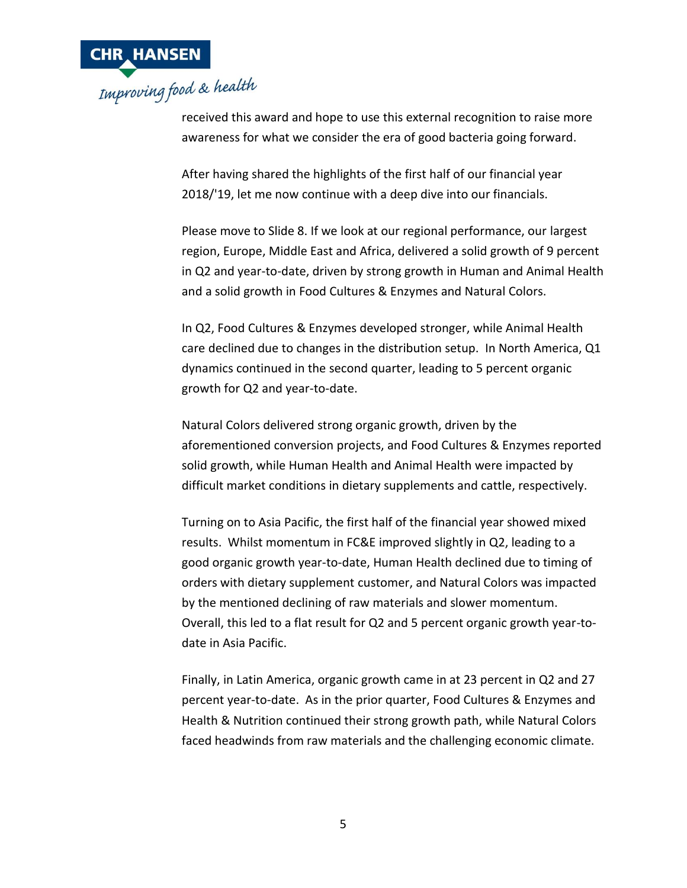

received this award and hope to use this external recognition to raise more awareness for what we consider the era of good bacteria going forward.

After having shared the highlights of the first half of our financial year 2018/'19, let me now continue with a deep dive into our financials.

Please move to Slide 8. If we look at our regional performance, our largest region, Europe, Middle East and Africa, delivered a solid growth of 9 percent in Q2 and year-to-date, driven by strong growth in Human and Animal Health and a solid growth in Food Cultures & Enzymes and Natural Colors.

In Q2, Food Cultures & Enzymes developed stronger, while Animal Health care declined due to changes in the distribution setup. In North America, Q1 dynamics continued in the second quarter, leading to 5 percent organic growth for Q2 and year-to-date.

Natural Colors delivered strong organic growth, driven by the aforementioned conversion projects, and Food Cultures & Enzymes reported solid growth, while Human Health and Animal Health were impacted by difficult market conditions in dietary supplements and cattle, respectively.

Turning on to Asia Pacific, the first half of the financial year showed mixed results. Whilst momentum in FC&E improved slightly in Q2, leading to a good organic growth year-to-date, Human Health declined due to timing of orders with dietary supplement customer, and Natural Colors was impacted by the mentioned declining of raw materials and slower momentum. Overall, this led to a flat result for Q2 and 5 percent organic growth year-todate in Asia Pacific.

Finally, in Latin America, organic growth came in at 23 percent in Q2 and 27 percent year-to-date. As in the prior quarter, Food Cultures & Enzymes and Health & Nutrition continued their strong growth path, while Natural Colors faced headwinds from raw materials and the challenging economic climate.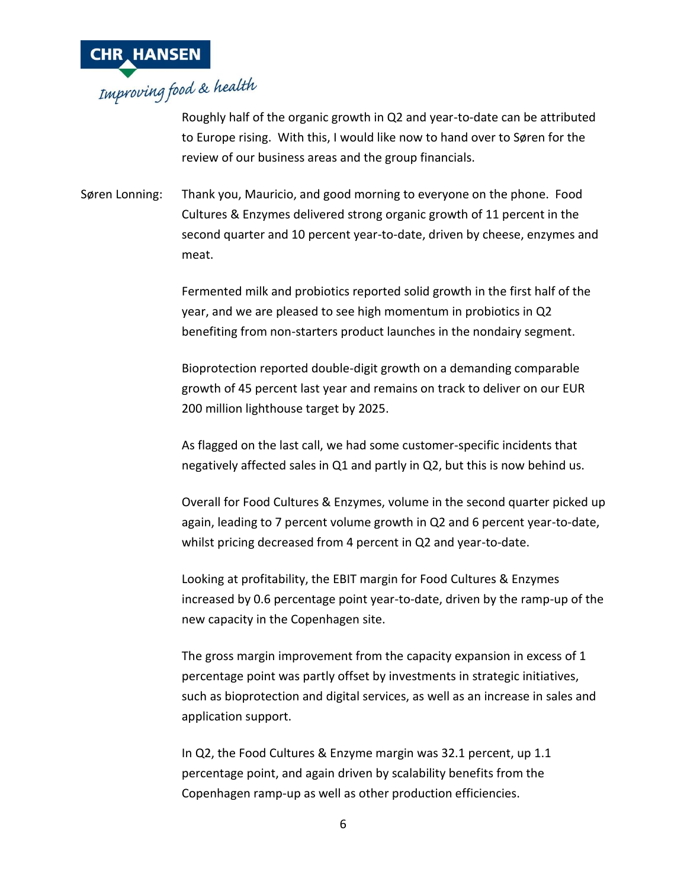

Roughly half of the organic growth in Q2 and year-to-date can be attributed to Europe rising. With this, I would like now to hand over to Søren for the review of our business areas and the group financials.

Søren Lonning: Thank you, Mauricio, and good morning to everyone on the phone. Food Cultures & Enzymes delivered strong organic growth of 11 percent in the second quarter and 10 percent year-to-date, driven by cheese, enzymes and meat.

> Fermented milk and probiotics reported solid growth in the first half of the year, and we are pleased to see high momentum in probiotics in Q2 benefiting from non-starters product launches in the nondairy segment.

Bioprotection reported double-digit growth on a demanding comparable growth of 45 percent last year and remains on track to deliver on our EUR 200 million lighthouse target by 2025.

As flagged on the last call, we had some customer-specific incidents that negatively affected sales in Q1 and partly in Q2, but this is now behind us.

Overall for Food Cultures & Enzymes, volume in the second quarter picked up again, leading to 7 percent volume growth in Q2 and 6 percent year-to-date, whilst pricing decreased from 4 percent in Q2 and year-to-date.

Looking at profitability, the EBIT margin for Food Cultures & Enzymes increased by 0.6 percentage point year-to-date, driven by the ramp-up of the new capacity in the Copenhagen site.

The gross margin improvement from the capacity expansion in excess of 1 percentage point was partly offset by investments in strategic initiatives, such as bioprotection and digital services, as well as an increase in sales and application support.

In Q2, the Food Cultures & Enzyme margin was 32.1 percent, up 1.1 percentage point, and again driven by scalability benefits from the Copenhagen ramp-up as well as other production efficiencies.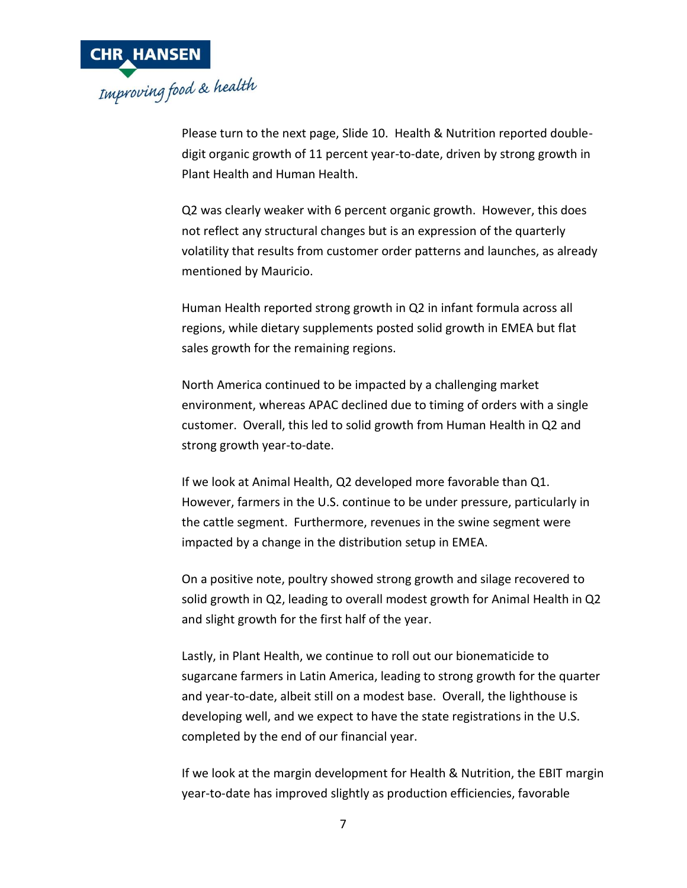

Please turn to the next page, Slide 10. Health & Nutrition reported doubledigit organic growth of 11 percent year-to-date, driven by strong growth in Plant Health and Human Health.

Q2 was clearly weaker with 6 percent organic growth. However, this does not reflect any structural changes but is an expression of the quarterly volatility that results from customer order patterns and launches, as already mentioned by Mauricio.

Human Health reported strong growth in Q2 in infant formula across all regions, while dietary supplements posted solid growth in EMEA but flat sales growth for the remaining regions.

North America continued to be impacted by a challenging market environment, whereas APAC declined due to timing of orders with a single customer. Overall, this led to solid growth from Human Health in Q2 and strong growth year-to-date.

If we look at Animal Health, Q2 developed more favorable than Q1. However, farmers in the U.S. continue to be under pressure, particularly in the cattle segment. Furthermore, revenues in the swine segment were impacted by a change in the distribution setup in EMEA.

On a positive note, poultry showed strong growth and silage recovered to solid growth in Q2, leading to overall modest growth for Animal Health in Q2 and slight growth for the first half of the year.

Lastly, in Plant Health, we continue to roll out our bionematicide to sugarcane farmers in Latin America, leading to strong growth for the quarter and year-to-date, albeit still on a modest base. Overall, the lighthouse is developing well, and we expect to have the state registrations in the U.S. completed by the end of our financial year.

If we look at the margin development for Health & Nutrition, the EBIT margin year-to-date has improved slightly as production efficiencies, favorable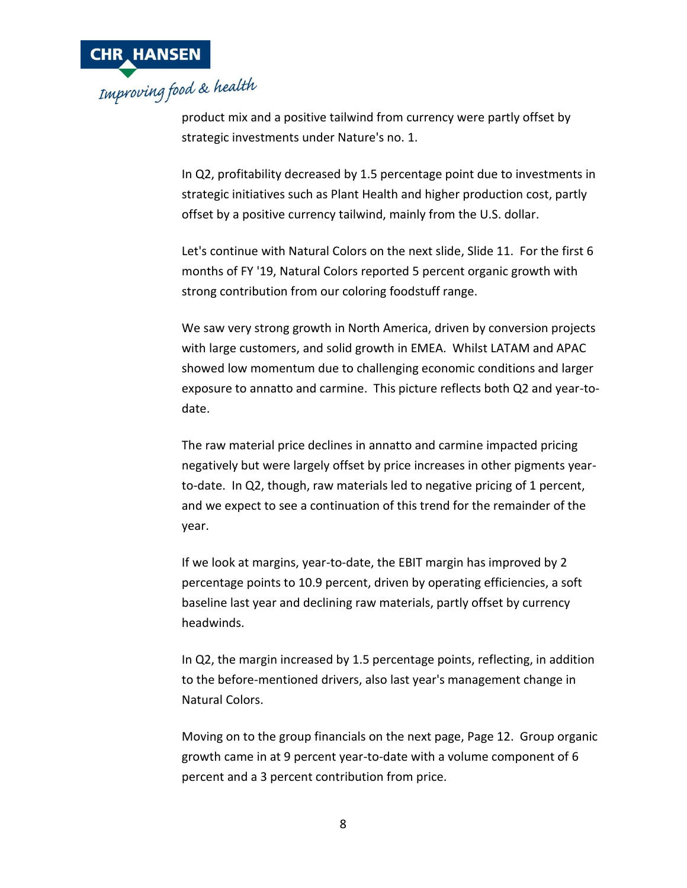

product mix and a positive tailwind from currency were partly offset by strategic investments under Nature's no. 1.

In Q2, profitability decreased by 1.5 percentage point due to investments in strategic initiatives such as Plant Health and higher production cost, partly offset by a positive currency tailwind, mainly from the U.S. dollar.

Let's continue with Natural Colors on the next slide, Slide 11. For the first 6 months of FY '19, Natural Colors reported 5 percent organic growth with strong contribution from our coloring foodstuff range.

We saw very strong growth in North America, driven by conversion projects with large customers, and solid growth in EMEA. Whilst LATAM and APAC showed low momentum due to challenging economic conditions and larger exposure to annatto and carmine. This picture reflects both Q2 and year-todate.

The raw material price declines in annatto and carmine impacted pricing negatively but were largely offset by price increases in other pigments yearto-date. In Q2, though, raw materials led to negative pricing of 1 percent, and we expect to see a continuation of this trend for the remainder of the year.

If we look at margins, year-to-date, the EBIT margin has improved by 2 percentage points to 10.9 percent, driven by operating efficiencies, a soft baseline last year and declining raw materials, partly offset by currency headwinds.

In Q2, the margin increased by 1.5 percentage points, reflecting, in addition to the before-mentioned drivers, also last year's management change in Natural Colors.

Moving on to the group financials on the next page, Page 12. Group organic growth came in at 9 percent year-to-date with a volume component of 6 percent and a 3 percent contribution from price.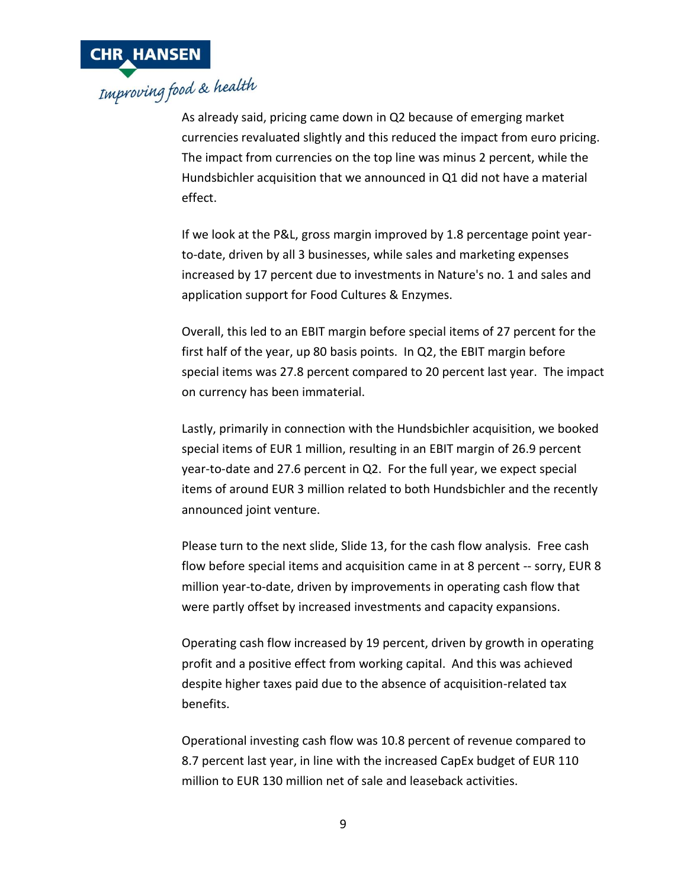

As already said, pricing came down in Q2 because of emerging market currencies revaluated slightly and this reduced the impact from euro pricing. The impact from currencies on the top line was minus 2 percent, while the Hundsbichler acquisition that we announced in Q1 did not have a material effect.

If we look at the P&L, gross margin improved by 1.8 percentage point yearto-date, driven by all 3 businesses, while sales and marketing expenses increased by 17 percent due to investments in Nature's no. 1 and sales and application support for Food Cultures & Enzymes.

Overall, this led to an EBIT margin before special items of 27 percent for the first half of the year, up 80 basis points. In Q2, the EBIT margin before special items was 27.8 percent compared to 20 percent last year. The impact on currency has been immaterial.

Lastly, primarily in connection with the Hundsbichler acquisition, we booked special items of EUR 1 million, resulting in an EBIT margin of 26.9 percent year-to-date and 27.6 percent in Q2. For the full year, we expect special items of around EUR 3 million related to both Hundsbichler and the recently announced joint venture.

Please turn to the next slide, Slide 13, for the cash flow analysis. Free cash flow before special items and acquisition came in at 8 percent -- sorry, EUR 8 million year-to-date, driven by improvements in operating cash flow that were partly offset by increased investments and capacity expansions.

Operating cash flow increased by 19 percent, driven by growth in operating profit and a positive effect from working capital. And this was achieved despite higher taxes paid due to the absence of acquisition-related tax benefits.

Operational investing cash flow was 10.8 percent of revenue compared to 8.7 percent last year, in line with the increased CapEx budget of EUR 110 million to EUR 130 million net of sale and leaseback activities.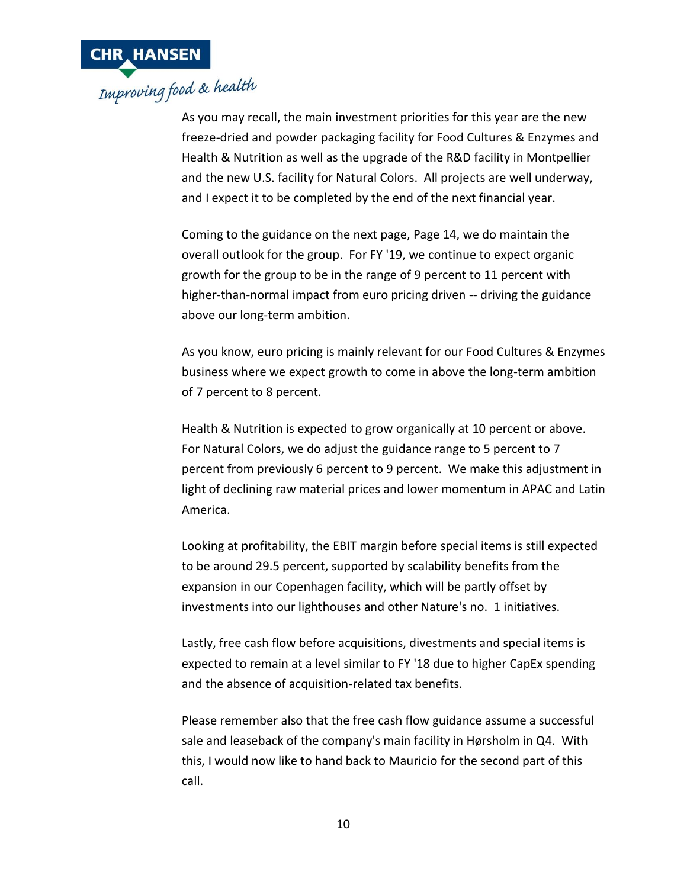

# As you may recall, the main investment priorities for this year are the new

freeze-dried and powder packaging facility for Food Cultures & Enzymes and Health & Nutrition as well as the upgrade of the R&D facility in Montpellier and the new U.S. facility for Natural Colors. All projects are well underway, and I expect it to be completed by the end of the next financial year.

Coming to the guidance on the next page, Page 14, we do maintain the overall outlook for the group. For FY '19, we continue to expect organic growth for the group to be in the range of 9 percent to 11 percent with higher-than-normal impact from euro pricing driven -- driving the guidance above our long-term ambition.

As you know, euro pricing is mainly relevant for our Food Cultures & Enzymes business where we expect growth to come in above the long-term ambition of 7 percent to 8 percent.

Health & Nutrition is expected to grow organically at 10 percent or above. For Natural Colors, we do adjust the guidance range to 5 percent to 7 percent from previously 6 percent to 9 percent. We make this adjustment in light of declining raw material prices and lower momentum in APAC and Latin America.

Looking at profitability, the EBIT margin before special items is still expected to be around 29.5 percent, supported by scalability benefits from the expansion in our Copenhagen facility, which will be partly offset by investments into our lighthouses and other Nature's no. 1 initiatives.

Lastly, free cash flow before acquisitions, divestments and special items is expected to remain at a level similar to FY '18 due to higher CapEx spending and the absence of acquisition-related tax benefits.

Please remember also that the free cash flow guidance assume a successful sale and leaseback of the company's main facility in Hørsholm in Q4. With this, I would now like to hand back to Mauricio for the second part of this call.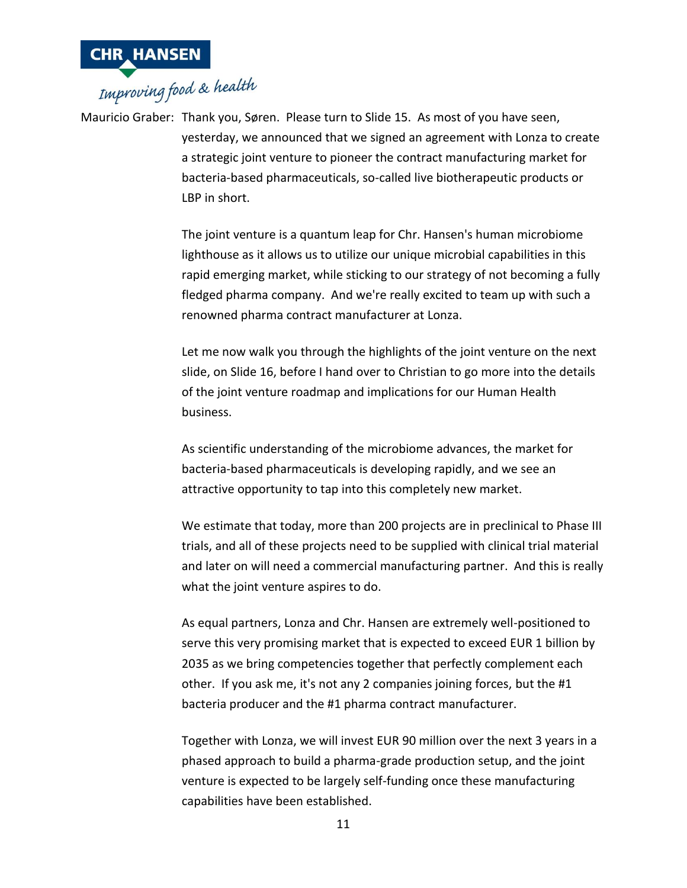

Mauricio Graber: Thank you, Søren. Please turn to Slide 15. As most of you have seen, yesterday, we announced that we signed an agreement with Lonza to create a strategic joint venture to pioneer the contract manufacturing market for bacteria-based pharmaceuticals, so-called live biotherapeutic products or LBP in short.

> The joint venture is a quantum leap for Chr. Hansen's human microbiome lighthouse as it allows us to utilize our unique microbial capabilities in this rapid emerging market, while sticking to our strategy of not becoming a fully fledged pharma company. And we're really excited to team up with such a renowned pharma contract manufacturer at Lonza.

> Let me now walk you through the highlights of the joint venture on the next slide, on Slide 16, before I hand over to Christian to go more into the details of the joint venture roadmap and implications for our Human Health business.

As scientific understanding of the microbiome advances, the market for bacteria-based pharmaceuticals is developing rapidly, and we see an attractive opportunity to tap into this completely new market.

We estimate that today, more than 200 projects are in preclinical to Phase III trials, and all of these projects need to be supplied with clinical trial material and later on will need a commercial manufacturing partner. And this is really what the joint venture aspires to do.

As equal partners, Lonza and Chr. Hansen are extremely well-positioned to serve this very promising market that is expected to exceed EUR 1 billion by 2035 as we bring competencies together that perfectly complement each other. If you ask me, it's not any 2 companies joining forces, but the #1 bacteria producer and the #1 pharma contract manufacturer.

Together with Lonza, we will invest EUR 90 million over the next 3 years in a phased approach to build a pharma-grade production setup, and the joint venture is expected to be largely self-funding once these manufacturing capabilities have been established.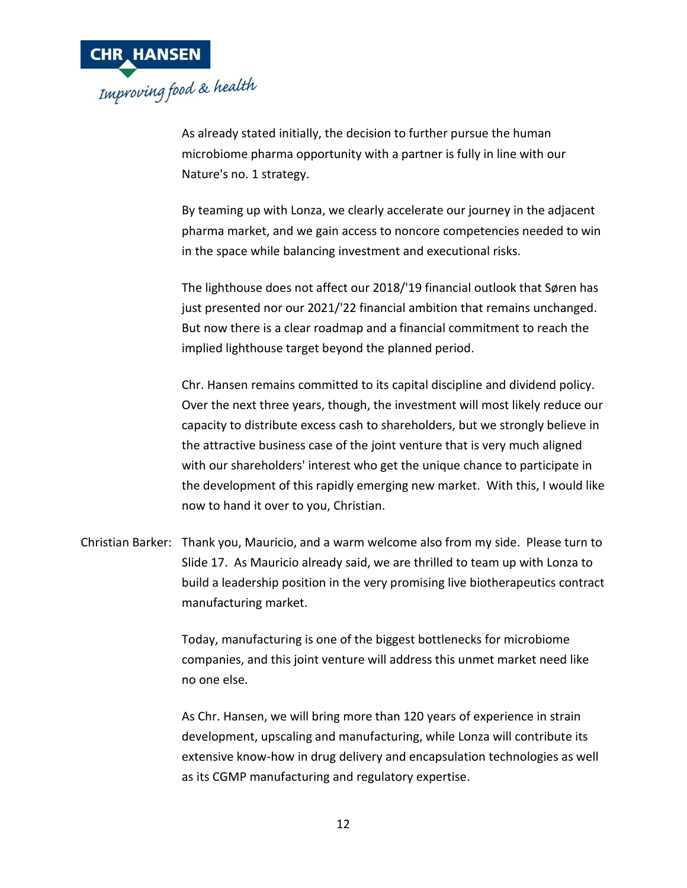

As already stated initially, the decision to further pursue the human microbiome pharma opportunity with a partner is fully in line with our Nature's no. 1 strategy.

By teaming up with Lonza, we clearly accelerate our journey in the adjacent pharma market, and we gain access to noncore competencies needed to win in the space while balancing investment and executional risks.

The lighthouse does not affect our 2018/'19 financial outlook that Søren has just presented nor our 2021/'22 financial ambition that remains unchanged. But now there is a clear roadmap and a financial commitment to reach the implied lighthouse target beyond the planned period.

Chr. Hansen remains committed to its capital discipline and dividend policy. Over the next three years, though, the investment will most likely reduce our capacity to distribute excess cash to shareholders, but we strongly believe in the attractive business case of the joint venture that is very much aligned with our shareholders' interest who get the unique chance to participate in the development of this rapidly emerging new market. With this, I would like now to hand it over to you, Christian.

Christian Barker: Thank you, Mauricio, and a warm welcome also from my side. Please turn to Slide 17. As Mauricio already said, we are thrilled to team up with Lonza to build a leadership position in the very promising live biotherapeutics contract manufacturing market.

> Today, manufacturing is one of the biggest bottlenecks for microbiome companies, and this joint venture will address this unmet market need like no one else.

As Chr. Hansen, we will bring more than 120 years of experience in strain development, upscaling and manufacturing, while Lonza will contribute its extensive know-how in drug delivery and encapsulation technologies as well as its CGMP manufacturing and regulatory expertise.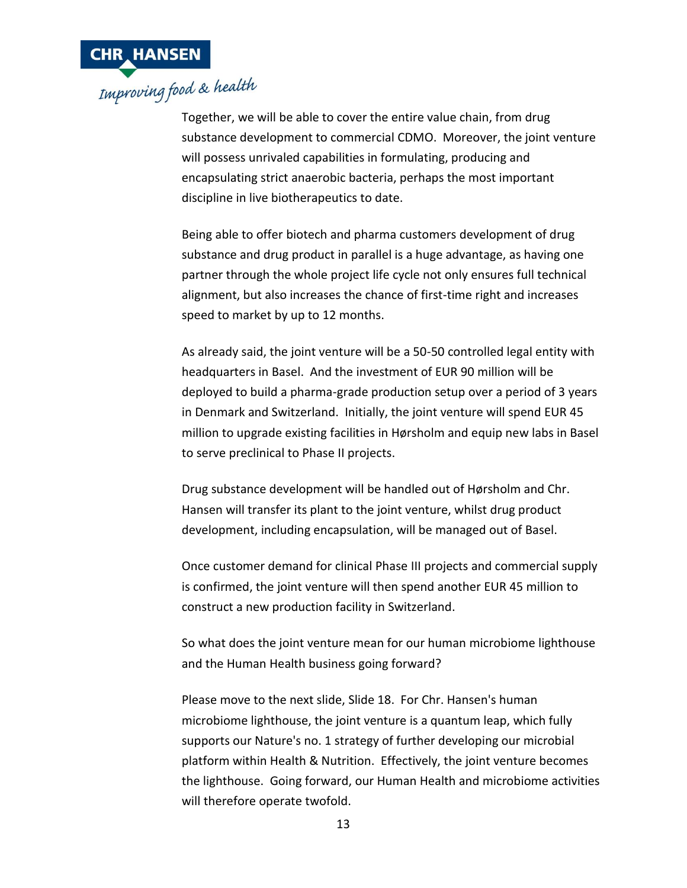

Together, we will be able to cover the entire value chain, from drug substance development to commercial CDMO. Moreover, the joint venture will possess unrivaled capabilities in formulating, producing and encapsulating strict anaerobic bacteria, perhaps the most important discipline in live biotherapeutics to date.

Being able to offer biotech and pharma customers development of drug substance and drug product in parallel is a huge advantage, as having one partner through the whole project life cycle not only ensures full technical alignment, but also increases the chance of first-time right and increases speed to market by up to 12 months.

As already said, the joint venture will be a 50-50 controlled legal entity with headquarters in Basel. And the investment of EUR 90 million will be deployed to build a pharma-grade production setup over a period of 3 years in Denmark and Switzerland. Initially, the joint venture will spend EUR 45 million to upgrade existing facilities in Hørsholm and equip new labs in Basel to serve preclinical to Phase II projects.

Drug substance development will be handled out of Hørsholm and Chr. Hansen will transfer its plant to the joint venture, whilst drug product development, including encapsulation, will be managed out of Basel.

Once customer demand for clinical Phase III projects and commercial supply is confirmed, the joint venture will then spend another EUR 45 million to construct a new production facility in Switzerland.

So what does the joint venture mean for our human microbiome lighthouse and the Human Health business going forward?

Please move to the next slide, Slide 18. For Chr. Hansen's human microbiome lighthouse, the joint venture is a quantum leap, which fully supports our Nature's no. 1 strategy of further developing our microbial platform within Health & Nutrition. Effectively, the joint venture becomes the lighthouse. Going forward, our Human Health and microbiome activities will therefore operate twofold.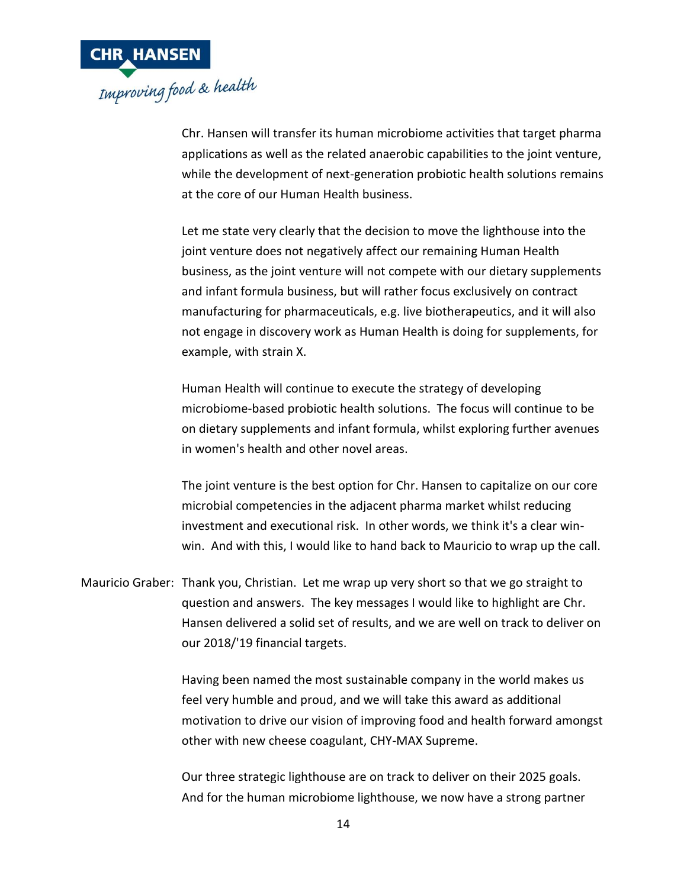

Chr. Hansen will transfer its human microbiome activities that target pharma applications as well as the related anaerobic capabilities to the joint venture, while the development of next-generation probiotic health solutions remains at the core of our Human Health business.

Let me state very clearly that the decision to move the lighthouse into the joint venture does not negatively affect our remaining Human Health business, as the joint venture will not compete with our dietary supplements and infant formula business, but will rather focus exclusively on contract manufacturing for pharmaceuticals, e.g. live biotherapeutics, and it will also not engage in discovery work as Human Health is doing for supplements, for example, with strain X.

Human Health will continue to execute the strategy of developing microbiome-based probiotic health solutions. The focus will continue to be on dietary supplements and infant formula, whilst exploring further avenues in women's health and other novel areas.

The joint venture is the best option for Chr. Hansen to capitalize on our core microbial competencies in the adjacent pharma market whilst reducing investment and executional risk. In other words, we think it's a clear winwin. And with this, I would like to hand back to Mauricio to wrap up the call.

Mauricio Graber: Thank you, Christian. Let me wrap up very short so that we go straight to question and answers. The key messages I would like to highlight are Chr. Hansen delivered a solid set of results, and we are well on track to deliver on our 2018/'19 financial targets.

> Having been named the most sustainable company in the world makes us feel very humble and proud, and we will take this award as additional motivation to drive our vision of improving food and health forward amongst other with new cheese coagulant, CHY-MAX Supreme.

Our three strategic lighthouse are on track to deliver on their 2025 goals. And for the human microbiome lighthouse, we now have a strong partner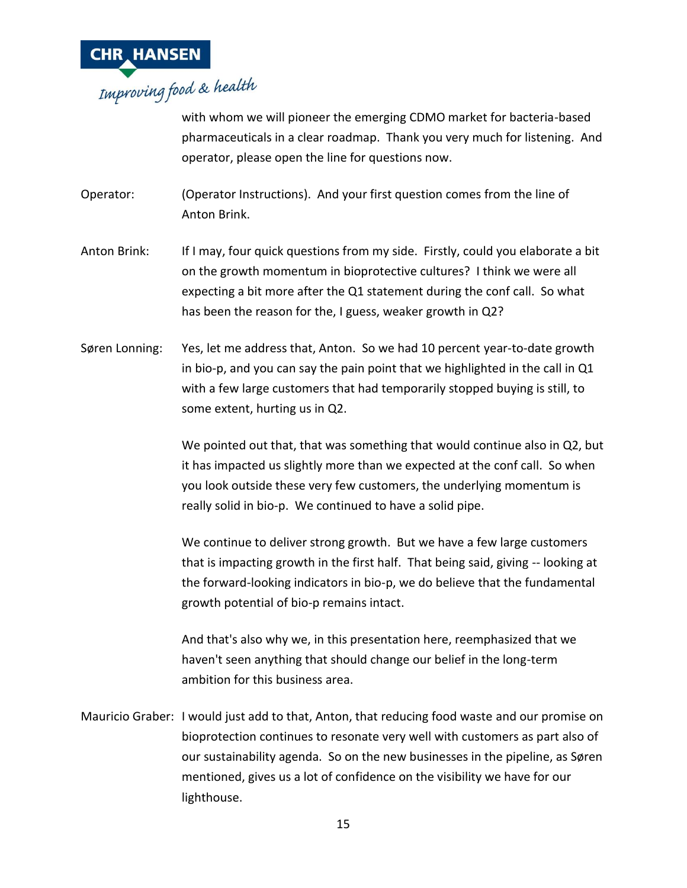

with whom we will pioneer the emerging CDMO market for bacteria-based pharmaceuticals in a clear roadmap. Thank you very much for listening. And operator, please open the line for questions now.

- Operator: (Operator Instructions). And your first question comes from the line of Anton Brink.
- Anton Brink: If I may, four quick questions from my side. Firstly, could you elaborate a bit on the growth momentum in bioprotective cultures? I think we were all expecting a bit more after the Q1 statement during the conf call. So what has been the reason for the, I guess, weaker growth in Q2?
- Søren Lonning: Yes, let me address that, Anton. So we had 10 percent year-to-date growth in bio-p, and you can say the pain point that we highlighted in the call in Q1 with a few large customers that had temporarily stopped buying is still, to some extent, hurting us in Q2.

We pointed out that, that was something that would continue also in Q2, but it has impacted us slightly more than we expected at the conf call. So when you look outside these very few customers, the underlying momentum is really solid in bio-p. We continued to have a solid pipe.

We continue to deliver strong growth. But we have a few large customers that is impacting growth in the first half. That being said, giving -- looking at the forward-looking indicators in bio-p, we do believe that the fundamental growth potential of bio-p remains intact.

And that's also why we, in this presentation here, reemphasized that we haven't seen anything that should change our belief in the long-term ambition for this business area.

Mauricio Graber: I would just add to that, Anton, that reducing food waste and our promise on bioprotection continues to resonate very well with customers as part also of our sustainability agenda. So on the new businesses in the pipeline, as Søren mentioned, gives us a lot of confidence on the visibility we have for our lighthouse.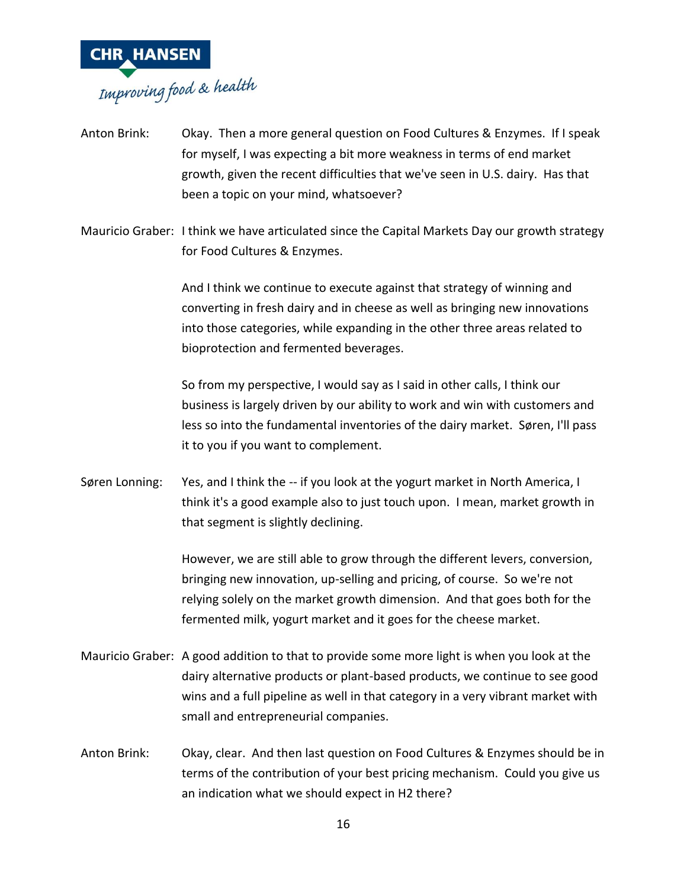

- Anton Brink: Okay. Then a more general question on Food Cultures & Enzymes. If I speak for myself, I was expecting a bit more weakness in terms of end market growth, given the recent difficulties that we've seen in U.S. dairy. Has that been a topic on your mind, whatsoever?
- Mauricio Graber: I think we have articulated since the Capital Markets Day our growth strategy for Food Cultures & Enzymes.

And I think we continue to execute against that strategy of winning and converting in fresh dairy and in cheese as well as bringing new innovations into those categories, while expanding in the other three areas related to bioprotection and fermented beverages.

So from my perspective, I would say as I said in other calls, I think our business is largely driven by our ability to work and win with customers and less so into the fundamental inventories of the dairy market. Søren, I'll pass it to you if you want to complement.

Søren Lonning: Yes, and I think the -- if you look at the yogurt market in North America, I think it's a good example also to just touch upon. I mean, market growth in that segment is slightly declining.

> However, we are still able to grow through the different levers, conversion, bringing new innovation, up-selling and pricing, of course. So we're not relying solely on the market growth dimension. And that goes both for the fermented milk, yogurt market and it goes for the cheese market.

- Mauricio Graber: A good addition to that to provide some more light is when you look at the dairy alternative products or plant-based products, we continue to see good wins and a full pipeline as well in that category in a very vibrant market with small and entrepreneurial companies.
- Anton Brink: Okay, clear. And then last question on Food Cultures & Enzymes should be in terms of the contribution of your best pricing mechanism. Could you give us an indication what we should expect in H2 there?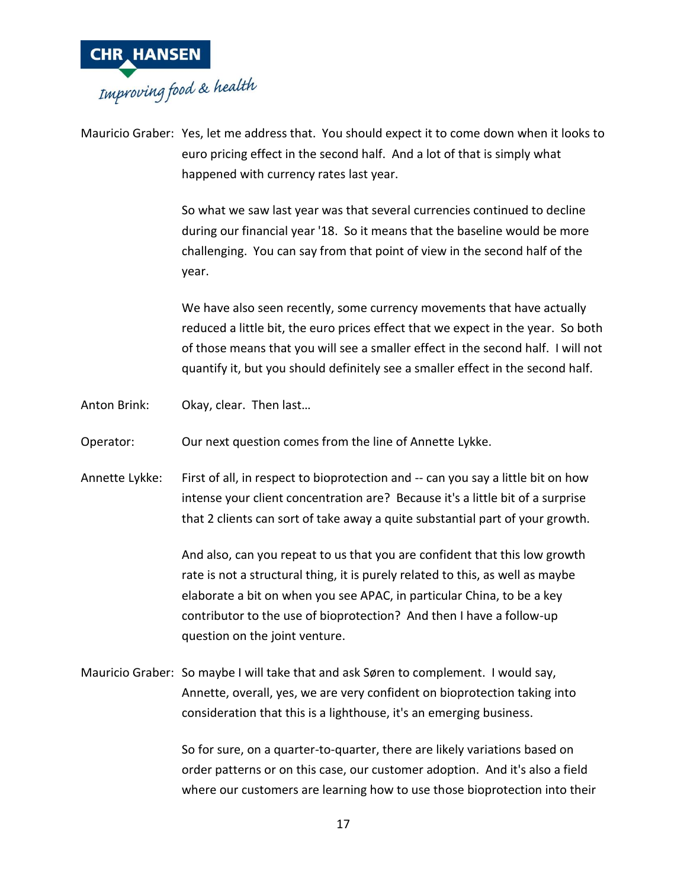

Mauricio Graber: Yes, let me address that. You should expect it to come down when it looks to euro pricing effect in the second half. And a lot of that is simply what happened with currency rates last year.

> So what we saw last year was that several currencies continued to decline during our financial year '18. So it means that the baseline would be more challenging. You can say from that point of view in the second half of the year.

We have also seen recently, some currency movements that have actually reduced a little bit, the euro prices effect that we expect in the year. So both of those means that you will see a smaller effect in the second half. I will not quantify it, but you should definitely see a smaller effect in the second half.

Anton Brink: Okay, clear. Then last…

Operator: Our next question comes from the line of Annette Lykke.

Annette Lykke: First of all, in respect to bioprotection and -- can you say a little bit on how intense your client concentration are? Because it's a little bit of a surprise that 2 clients can sort of take away a quite substantial part of your growth.

> And also, can you repeat to us that you are confident that this low growth rate is not a structural thing, it is purely related to this, as well as maybe elaborate a bit on when you see APAC, in particular China, to be a key contributor to the use of bioprotection? And then I have a follow-up question on the joint venture.

Mauricio Graber: So maybe I will take that and ask Søren to complement. I would say, Annette, overall, yes, we are very confident on bioprotection taking into consideration that this is a lighthouse, it's an emerging business.

> So for sure, on a quarter-to-quarter, there are likely variations based on order patterns or on this case, our customer adoption. And it's also a field where our customers are learning how to use those bioprotection into their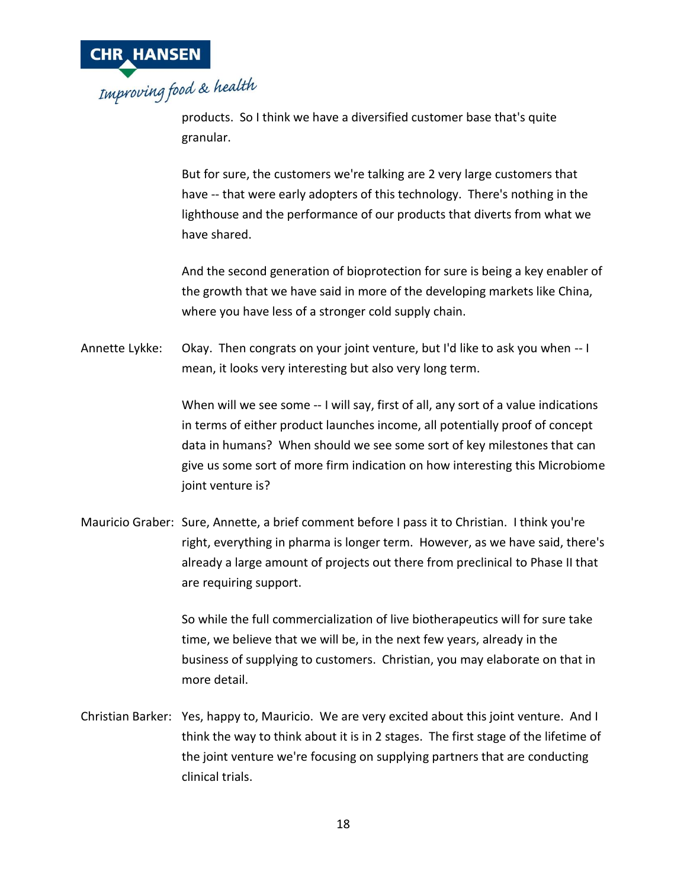

products. So I think we have a diversified customer base that's quite granular.

But for sure, the customers we're talking are 2 very large customers that have -- that were early adopters of this technology. There's nothing in the lighthouse and the performance of our products that diverts from what we have shared.

And the second generation of bioprotection for sure is being a key enabler of the growth that we have said in more of the developing markets like China, where you have less of a stronger cold supply chain.

Annette Lykke: Okay. Then congrats on your joint venture, but I'd like to ask you when -- I mean, it looks very interesting but also very long term.

> When will we see some -- I will say, first of all, any sort of a value indications in terms of either product launches income, all potentially proof of concept data in humans? When should we see some sort of key milestones that can give us some sort of more firm indication on how interesting this Microbiome joint venture is?

Mauricio Graber: Sure, Annette, a brief comment before I pass it to Christian. I think you're right, everything in pharma is longer term. However, as we have said, there's already a large amount of projects out there from preclinical to Phase II that are requiring support.

> So while the full commercialization of live biotherapeutics will for sure take time, we believe that we will be, in the next few years, already in the business of supplying to customers. Christian, you may elaborate on that in more detail.

Christian Barker: Yes, happy to, Mauricio. We are very excited about this joint venture. And I think the way to think about it is in 2 stages. The first stage of the lifetime of the joint venture we're focusing on supplying partners that are conducting clinical trials.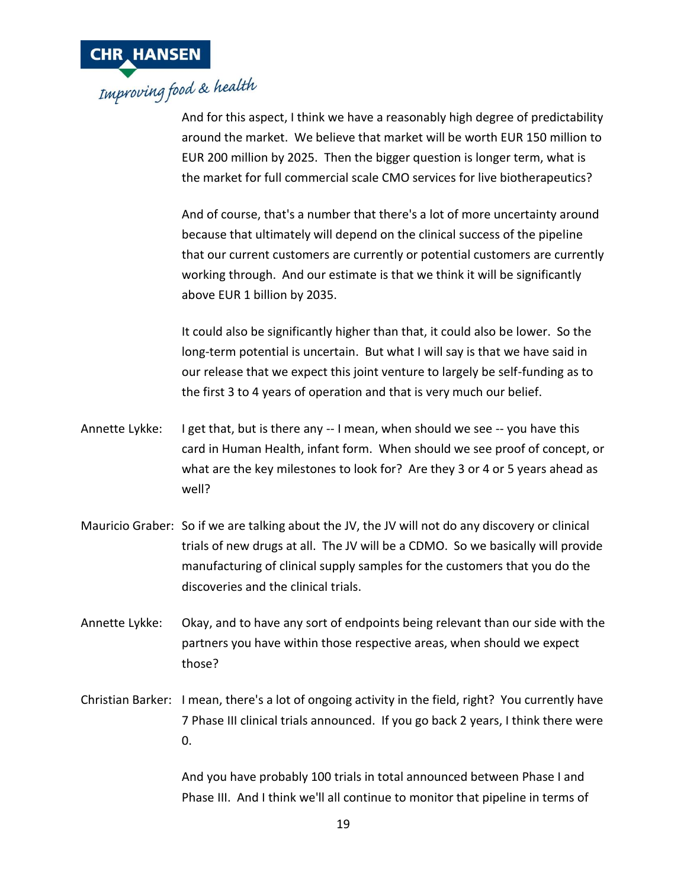

And for this aspect, I think we have a reasonably high degree of predictability around the market. We believe that market will be worth EUR 150 million to EUR 200 million by 2025. Then the bigger question is longer term, what is the market for full commercial scale CMO services for live biotherapeutics?

And of course, that's a number that there's a lot of more uncertainty around because that ultimately will depend on the clinical success of the pipeline that our current customers are currently or potential customers are currently working through. And our estimate is that we think it will be significantly above EUR 1 billion by 2035.

It could also be significantly higher than that, it could also be lower. So the long-term potential is uncertain. But what I will say is that we have said in our release that we expect this joint venture to largely be self-funding as to the first 3 to 4 years of operation and that is very much our belief.

- Annette Lykke: I get that, but is there any -- I mean, when should we see -- you have this card in Human Health, infant form. When should we see proof of concept, or what are the key milestones to look for? Are they 3 or 4 or 5 years ahead as well?
- Mauricio Graber: So if we are talking about the JV, the JV will not do any discovery or clinical trials of new drugs at all. The JV will be a CDMO. So we basically will provide manufacturing of clinical supply samples for the customers that you do the discoveries and the clinical trials.
- Annette Lykke: Okay, and to have any sort of endpoints being relevant than our side with the partners you have within those respective areas, when should we expect those?
- Christian Barker: I mean, there's a lot of ongoing activity in the field, right? You currently have 7 Phase III clinical trials announced. If you go back 2 years, I think there were 0.

And you have probably 100 trials in total announced between Phase I and Phase III. And I think we'll all continue to monitor that pipeline in terms of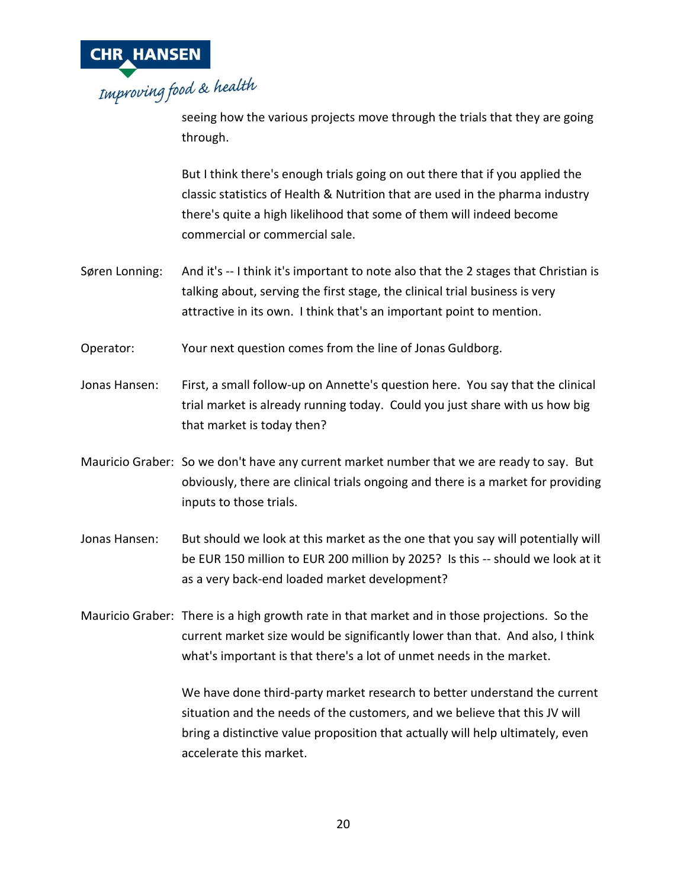

seeing how the various projects move through the trials that they are going through.

But I think there's enough trials going on out there that if you applied the classic statistics of Health & Nutrition that are used in the pharma industry there's quite a high likelihood that some of them will indeed become commercial or commercial sale.

- Søren Lonning: And it's -- I think it's important to note also that the 2 stages that Christian is talking about, serving the first stage, the clinical trial business is very attractive in its own. I think that's an important point to mention.
- Operator: Your next question comes from the line of Jonas Guldborg.
- Jonas Hansen: First, a small follow-up on Annette's question here. You say that the clinical trial market is already running today. Could you just share with us how big that market is today then?
- Mauricio Graber: So we don't have any current market number that we are ready to say. But obviously, there are clinical trials ongoing and there is a market for providing inputs to those trials.
- Jonas Hansen: But should we look at this market as the one that you say will potentially will be EUR 150 million to EUR 200 million by 2025? Is this -- should we look at it as a very back-end loaded market development?
- Mauricio Graber: There is a high growth rate in that market and in those projections. So the current market size would be significantly lower than that. And also, I think what's important is that there's a lot of unmet needs in the market.

We have done third-party market research to better understand the current situation and the needs of the customers, and we believe that this JV will bring a distinctive value proposition that actually will help ultimately, even accelerate this market.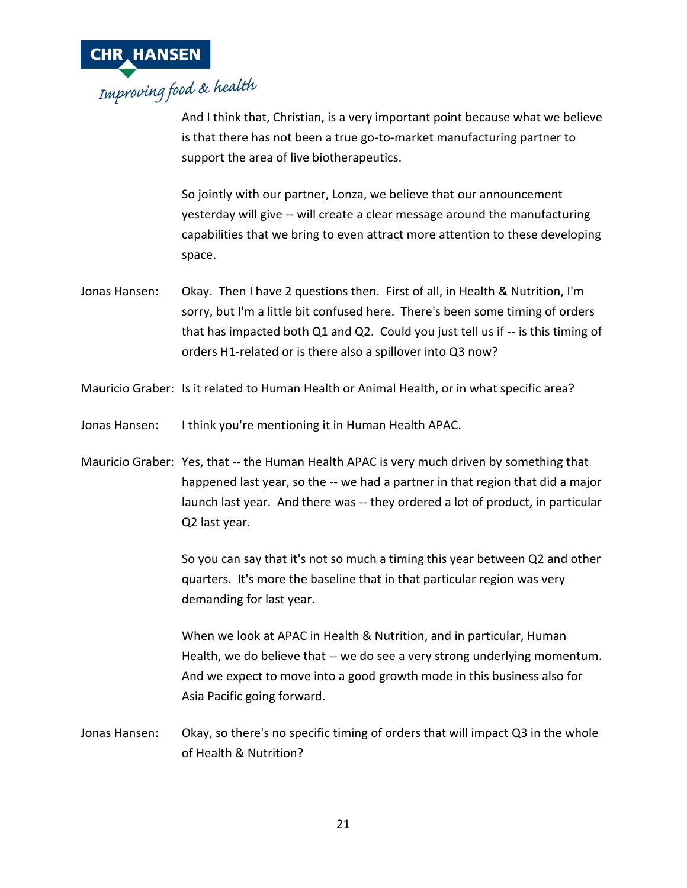

And I think that, Christian, is a very important point because what we believe is that there has not been a true go-to-market manufacturing partner to support the area of live biotherapeutics.

So jointly with our partner, Lonza, we believe that our announcement yesterday will give -- will create a clear message around the manufacturing capabilities that we bring to even attract more attention to these developing space.

- Jonas Hansen: Okay. Then I have 2 questions then. First of all, in Health & Nutrition, I'm sorry, but I'm a little bit confused here. There's been some timing of orders that has impacted both Q1 and Q2. Could you just tell us if -- is this timing of orders H1-related or is there also a spillover into Q3 now?
- Mauricio Graber: Is it related to Human Health or Animal Health, or in what specific area?
- Jonas Hansen: I think you're mentioning it in Human Health APAC.
- Mauricio Graber: Yes, that -- the Human Health APAC is very much driven by something that happened last year, so the -- we had a partner in that region that did a major launch last year. And there was -- they ordered a lot of product, in particular Q2 last year.

So you can say that it's not so much a timing this year between Q2 and other quarters. It's more the baseline that in that particular region was very demanding for last year.

When we look at APAC in Health & Nutrition, and in particular, Human Health, we do believe that -- we do see a very strong underlying momentum. And we expect to move into a good growth mode in this business also for Asia Pacific going forward.

Jonas Hansen: Okay, so there's no specific timing of orders that will impact Q3 in the whole of Health & Nutrition?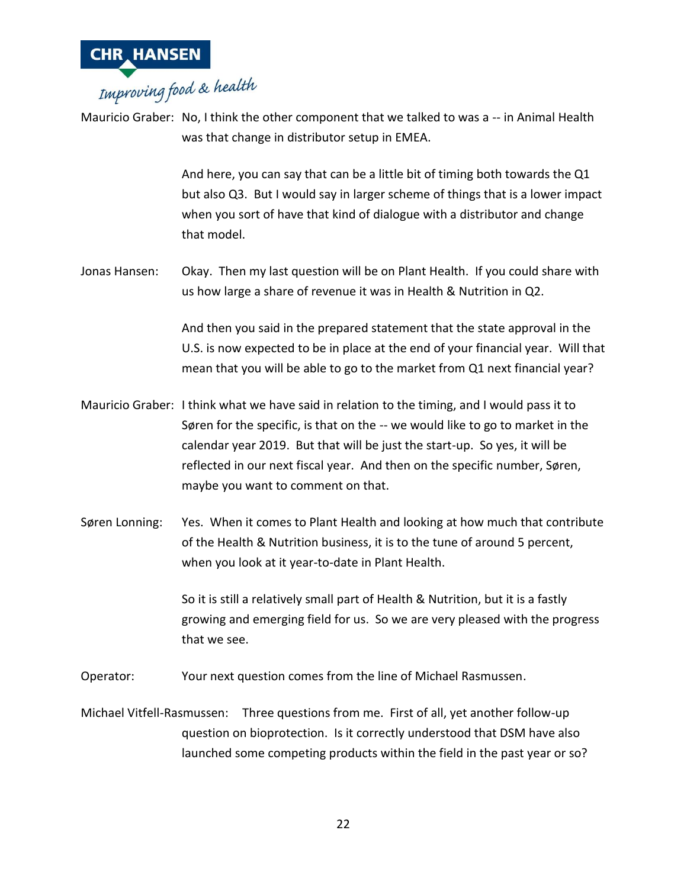

Mauricio Graber: No, I think the other component that we talked to was a -- in Animal Health was that change in distributor setup in EMEA.

> And here, you can say that can be a little bit of timing both towards the Q1 but also Q3. But I would say in larger scheme of things that is a lower impact when you sort of have that kind of dialogue with a distributor and change that model.

Jonas Hansen: Okay. Then my last question will be on Plant Health. If you could share with us how large a share of revenue it was in Health & Nutrition in Q2.

> And then you said in the prepared statement that the state approval in the U.S. is now expected to be in place at the end of your financial year. Will that mean that you will be able to go to the market from Q1 next financial year?

- Mauricio Graber: I think what we have said in relation to the timing, and I would pass it to Søren for the specific, is that on the -- we would like to go to market in the calendar year 2019. But that will be just the start-up. So yes, it will be reflected in our next fiscal year. And then on the specific number, Søren, maybe you want to comment on that.
- Søren Lonning: Yes. When it comes to Plant Health and looking at how much that contribute of the Health & Nutrition business, it is to the tune of around 5 percent, when you look at it year-to-date in Plant Health.

So it is still a relatively small part of Health & Nutrition, but it is a fastly growing and emerging field for us. So we are very pleased with the progress that we see.

Operator: Your next question comes from the line of Michael Rasmussen.

Michael Vitfell-Rasmussen: Three questions from me. First of all, yet another follow-up question on bioprotection. Is it correctly understood that DSM have also launched some competing products within the field in the past year or so?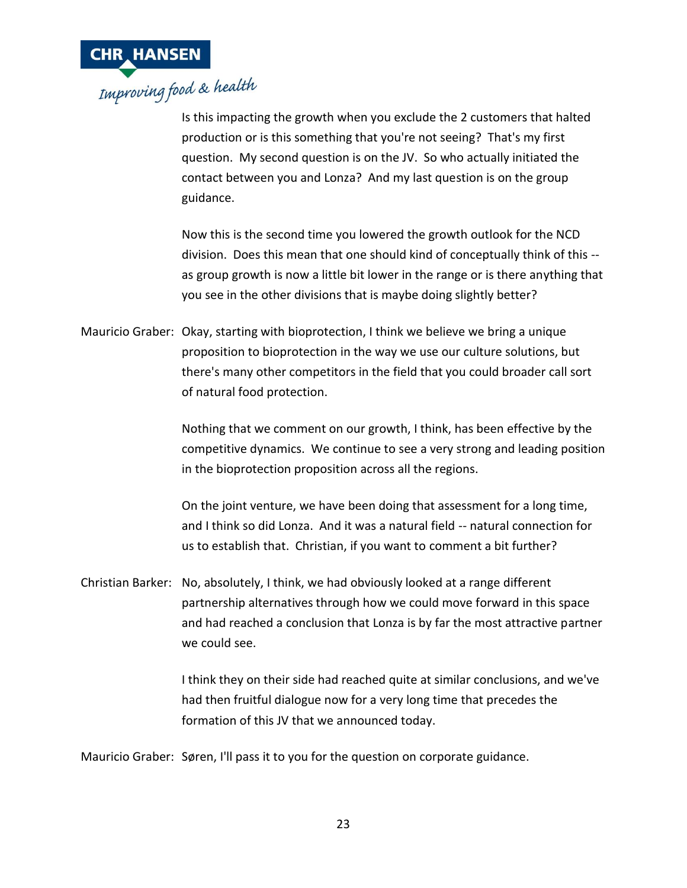

Is this impacting the growth when you exclude the 2 customers that halted production or is this something that you're not seeing? That's my first question. My second question is on the JV. So who actually initiated the contact between you and Lonza? And my last question is on the group guidance.

Now this is the second time you lowered the growth outlook for the NCD division. Does this mean that one should kind of conceptually think of this - as group growth is now a little bit lower in the range or is there anything that you see in the other divisions that is maybe doing slightly better?

Mauricio Graber: Okay, starting with bioprotection, I think we believe we bring a unique proposition to bioprotection in the way we use our culture solutions, but there's many other competitors in the field that you could broader call sort of natural food protection.

> Nothing that we comment on our growth, I think, has been effective by the competitive dynamics. We continue to see a very strong and leading position in the bioprotection proposition across all the regions.

On the joint venture, we have been doing that assessment for a long time, and I think so did Lonza. And it was a natural field -- natural connection for us to establish that. Christian, if you want to comment a bit further?

Christian Barker: No, absolutely, I think, we had obviously looked at a range different partnership alternatives through how we could move forward in this space and had reached a conclusion that Lonza is by far the most attractive partner we could see.

> I think they on their side had reached quite at similar conclusions, and we've had then fruitful dialogue now for a very long time that precedes the formation of this JV that we announced today.

Mauricio Graber: Søren, I'll pass it to you for the question on corporate guidance.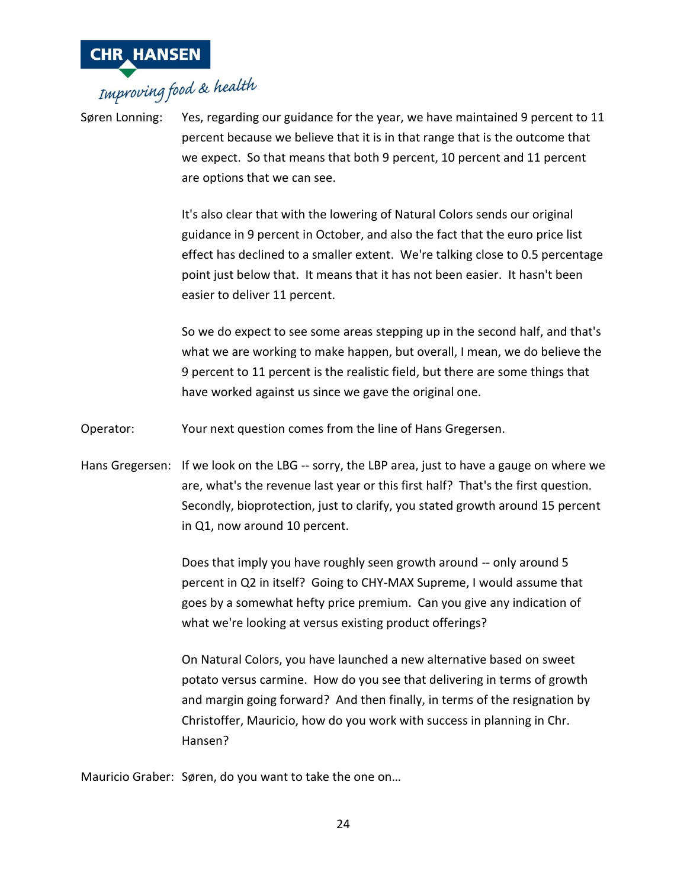

# **CHR HANSEN**<br>Improving food & health

Søren Lonning: Yes, regarding our guidance for the year, we have maintained 9 percent to 11 percent because we believe that it is in that range that is the outcome that we expect. So that means that both 9 percent, 10 percent and 11 percent are options that we can see.

> It's also clear that with the lowering of Natural Colors sends our original guidance in 9 percent in October, and also the fact that the euro price list effect has declined to a smaller extent. We're talking close to 0.5 percentage point just below that. It means that it has not been easier. It hasn't been easier to deliver 11 percent.

> So we do expect to see some areas stepping up in the second half, and that's what we are working to make happen, but overall, I mean, we do believe the 9 percent to 11 percent is the realistic field, but there are some things that have worked against us since we gave the original one.

Operator: Your next question comes from the line of Hans Gregersen.

Hans Gregersen: If we look on the LBG -- sorry, the LBP area, just to have a gauge on where we are, what's the revenue last year or this first half? That's the first question. Secondly, bioprotection, just to clarify, you stated growth around 15 percent in Q1, now around 10 percent.

> Does that imply you have roughly seen growth around -- only around 5 percent in Q2 in itself? Going to CHY-MAX Supreme, I would assume that goes by a somewhat hefty price premium. Can you give any indication of what we're looking at versus existing product offerings?

On Natural Colors, you have launched a new alternative based on sweet potato versus carmine. How do you see that delivering in terms of growth and margin going forward? And then finally, in terms of the resignation by Christoffer, Mauricio, how do you work with success in planning in Chr. Hansen?

Mauricio Graber: Søren, do you want to take the one on…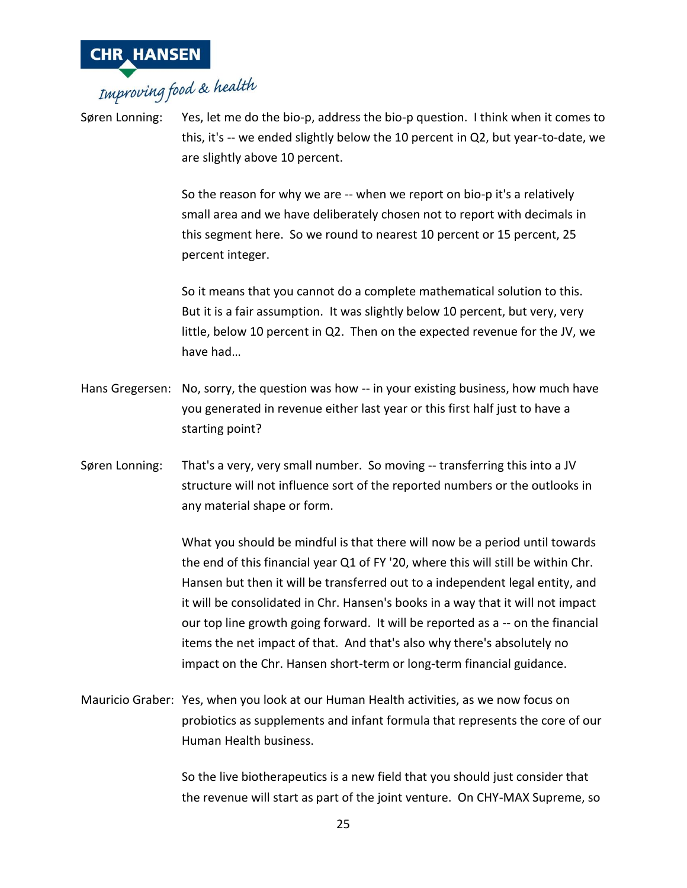

Søren Lonning: Yes, let me do the bio-p, address the bio-p question. I think when it comes to this, it's -- we ended slightly below the 10 percent in Q2, but year-to-date, we are slightly above 10 percent.

> So the reason for why we are -- when we report on bio-p it's a relatively small area and we have deliberately chosen not to report with decimals in this segment here. So we round to nearest 10 percent or 15 percent, 25 percent integer.

So it means that you cannot do a complete mathematical solution to this. But it is a fair assumption. It was slightly below 10 percent, but very, very little, below 10 percent in Q2. Then on the expected revenue for the JV, we have had…

- Hans Gregersen: No, sorry, the question was how -- in your existing business, how much have you generated in revenue either last year or this first half just to have a starting point?
- Søren Lonning: That's a very, very small number. So moving -- transferring this into a JV structure will not influence sort of the reported numbers or the outlooks in any material shape or form.

What you should be mindful is that there will now be a period until towards the end of this financial year Q1 of FY '20, where this will still be within Chr. Hansen but then it will be transferred out to a independent legal entity, and it will be consolidated in Chr. Hansen's books in a way that it will not impact our top line growth going forward. It will be reported as a -- on the financial items the net impact of that. And that's also why there's absolutely no impact on the Chr. Hansen short-term or long-term financial guidance.

Mauricio Graber: Yes, when you look at our Human Health activities, as we now focus on probiotics as supplements and infant formula that represents the core of our Human Health business.

> So the live biotherapeutics is a new field that you should just consider that the revenue will start as part of the joint venture. On CHY-MAX Supreme, so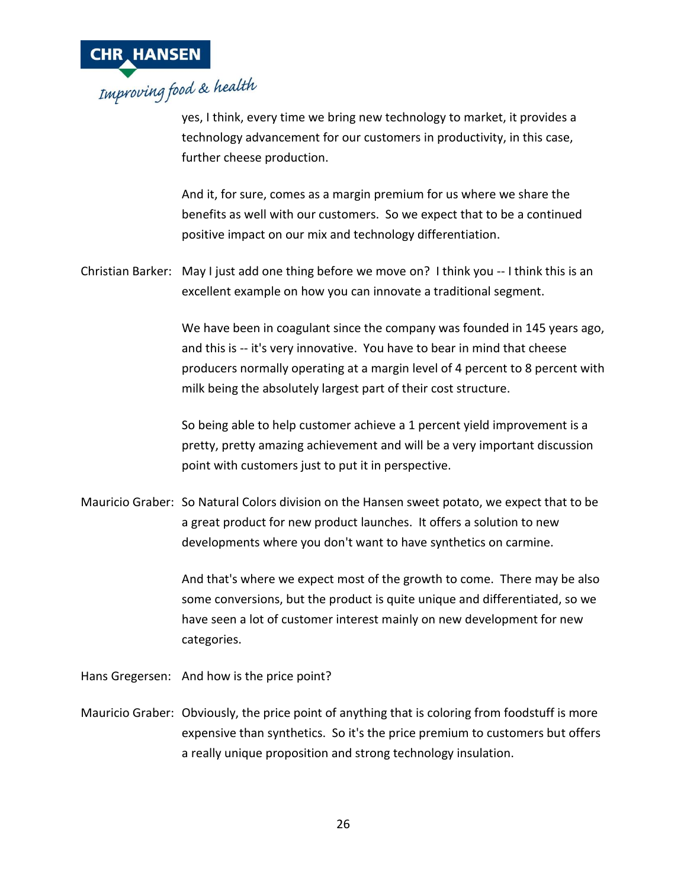

yes, I think, every time we bring new technology to market, it provides a technology advancement for our customers in productivity, in this case, further cheese production.

And it, for sure, comes as a margin premium for us where we share the benefits as well with our customers. So we expect that to be a continued positive impact on our mix and technology differentiation.

Christian Barker: May I just add one thing before we move on? I think you -- I think this is an excellent example on how you can innovate a traditional segment.

> We have been in coagulant since the company was founded in 145 years ago, and this is -- it's very innovative. You have to bear in mind that cheese producers normally operating at a margin level of 4 percent to 8 percent with milk being the absolutely largest part of their cost structure.

So being able to help customer achieve a 1 percent yield improvement is a pretty, pretty amazing achievement and will be a very important discussion point with customers just to put it in perspective.

Mauricio Graber: So Natural Colors division on the Hansen sweet potato, we expect that to be a great product for new product launches. It offers a solution to new developments where you don't want to have synthetics on carmine.

> And that's where we expect most of the growth to come. There may be also some conversions, but the product is quite unique and differentiated, so we have seen a lot of customer interest mainly on new development for new categories.

Hans Gregersen: And how is the price point?

Mauricio Graber: Obviously, the price point of anything that is coloring from foodstuff is more expensive than synthetics. So it's the price premium to customers but offers a really unique proposition and strong technology insulation.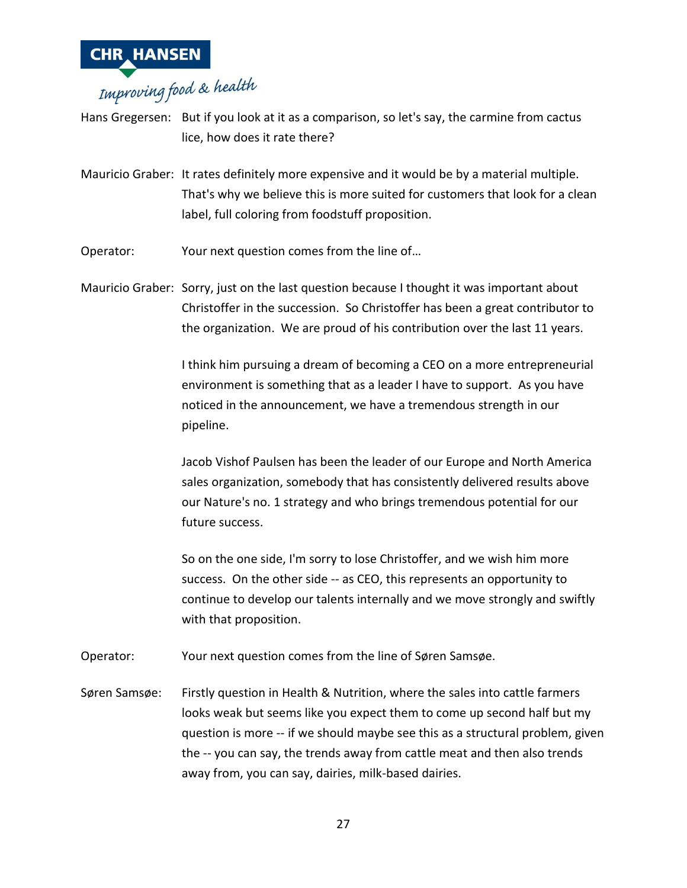

Hans Gregersen: But if you look at it as a comparison, so let's say, the carmine from cactus lice, how does it rate there?

Mauricio Graber: It rates definitely more expensive and it would be by a material multiple. That's why we believe this is more suited for customers that look for a clean label, full coloring from foodstuff proposition.

Operator: Your next question comes from the line of…

Mauricio Graber: Sorry, just on the last question because I thought it was important about Christoffer in the succession. So Christoffer has been a great contributor to the organization. We are proud of his contribution over the last 11 years.

> I think him pursuing a dream of becoming a CEO on a more entrepreneurial environment is something that as a leader I have to support. As you have noticed in the announcement, we have a tremendous strength in our pipeline.

> Jacob Vishof Paulsen has been the leader of our Europe and North America sales organization, somebody that has consistently delivered results above our Nature's no. 1 strategy and who brings tremendous potential for our future success.

> So on the one side, I'm sorry to lose Christoffer, and we wish him more success. On the other side -- as CEO, this represents an opportunity to continue to develop our talents internally and we move strongly and swiftly with that proposition.

Operator: Your next question comes from the line of Søren Samsøe.

Søren Samsøe: Firstly question in Health & Nutrition, where the sales into cattle farmers looks weak but seems like you expect them to come up second half but my question is more -- if we should maybe see this as a structural problem, given the -- you can say, the trends away from cattle meat and then also trends away from, you can say, dairies, milk-based dairies.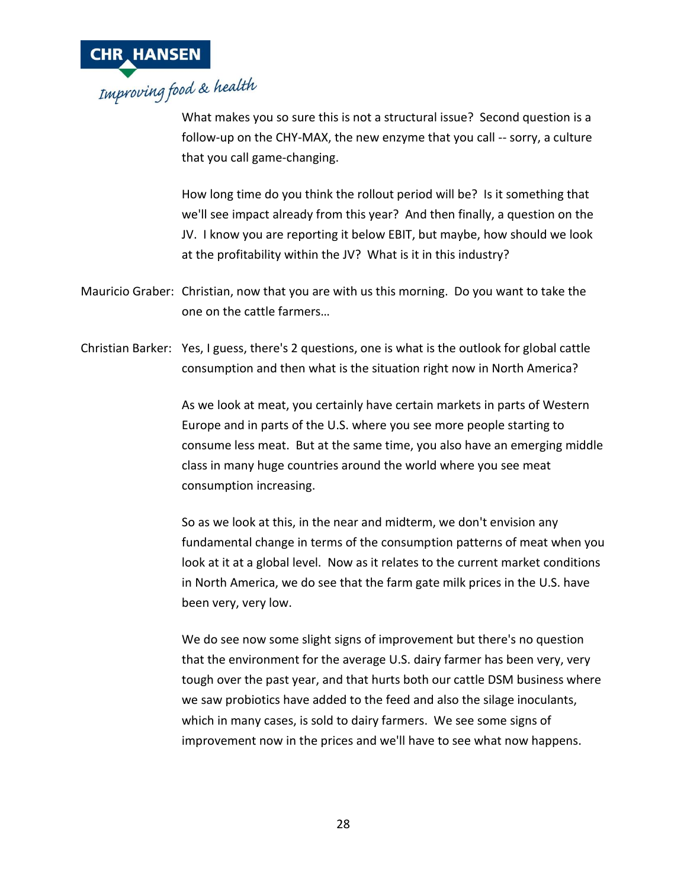

What makes you so sure this is not a structural issue? Second question is a follow-up on the CHY-MAX, the new enzyme that you call -- sorry, a culture that you call game-changing.

How long time do you think the rollout period will be? Is it something that we'll see impact already from this year? And then finally, a question on the JV. I know you are reporting it below EBIT, but maybe, how should we look at the profitability within the JV? What is it in this industry?

- Mauricio Graber: Christian, now that you are with us this morning. Do you want to take the one on the cattle farmers…
- Christian Barker: Yes, I guess, there's 2 questions, one is what is the outlook for global cattle consumption and then what is the situation right now in North America?

As we look at meat, you certainly have certain markets in parts of Western Europe and in parts of the U.S. where you see more people starting to consume less meat. But at the same time, you also have an emerging middle class in many huge countries around the world where you see meat consumption increasing.

So as we look at this, in the near and midterm, we don't envision any fundamental change in terms of the consumption patterns of meat when you look at it at a global level. Now as it relates to the current market conditions in North America, we do see that the farm gate milk prices in the U.S. have been very, very low.

We do see now some slight signs of improvement but there's no question that the environment for the average U.S. dairy farmer has been very, very tough over the past year, and that hurts both our cattle DSM business where we saw probiotics have added to the feed and also the silage inoculants, which in many cases, is sold to dairy farmers. We see some signs of improvement now in the prices and we'll have to see what now happens.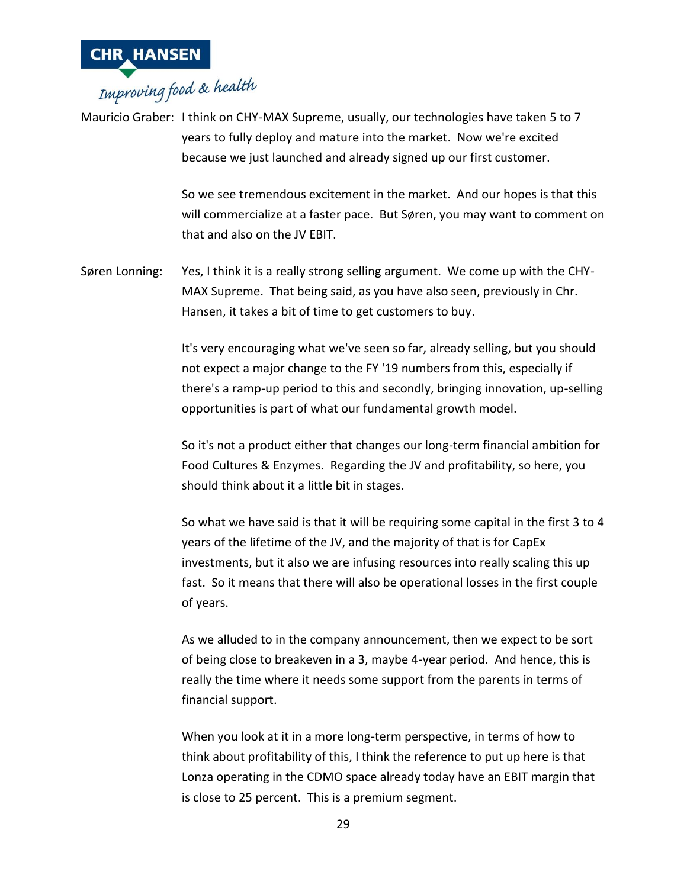

Mauricio Graber: I think on CHY-MAX Supreme, usually, our technologies have taken 5 to 7 years to fully deploy and mature into the market. Now we're excited because we just launched and already signed up our first customer.

> So we see tremendous excitement in the market. And our hopes is that this will commercialize at a faster pace. But Søren, you may want to comment on that and also on the JV EBIT.

Søren Lonning: Yes, I think it is a really strong selling argument. We come up with the CHY-MAX Supreme. That being said, as you have also seen, previously in Chr. Hansen, it takes a bit of time to get customers to buy.

> It's very encouraging what we've seen so far, already selling, but you should not expect a major change to the FY '19 numbers from this, especially if there's a ramp-up period to this and secondly, bringing innovation, up-selling opportunities is part of what our fundamental growth model.

> So it's not a product either that changes our long-term financial ambition for Food Cultures & Enzymes. Regarding the JV and profitability, so here, you should think about it a little bit in stages.

> So what we have said is that it will be requiring some capital in the first 3 to 4 years of the lifetime of the JV, and the majority of that is for CapEx investments, but it also we are infusing resources into really scaling this up fast. So it means that there will also be operational losses in the first couple of years.

As we alluded to in the company announcement, then we expect to be sort of being close to breakeven in a 3, maybe 4-year period. And hence, this is really the time where it needs some support from the parents in terms of financial support.

When you look at it in a more long-term perspective, in terms of how to think about profitability of this, I think the reference to put up here is that Lonza operating in the CDMO space already today have an EBIT margin that is close to 25 percent. This is a premium segment.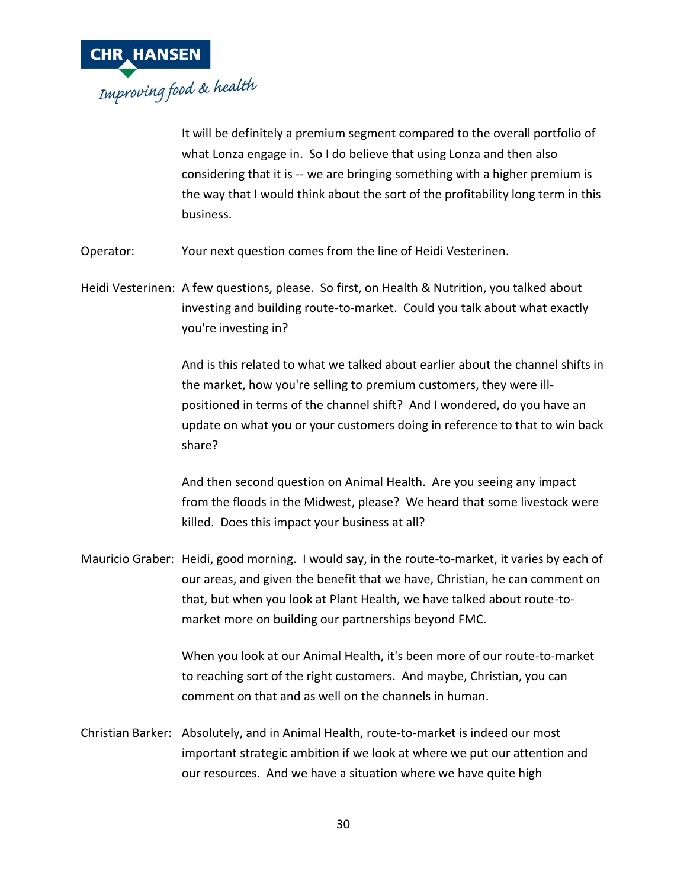

It will be definitely a premium segment compared to the overall portfolio of what Lonza engage in. So I do believe that using Lonza and then also considering that it is -- we are bringing something with a higher premium is the way that I would think about the sort of the profitability long term in this business.

Operator: Your next question comes from the line of Heidi Vesterinen.

Heidi Vesterinen: A few questions, please. So first, on Health & Nutrition, you talked about investing and building route-to-market. Could you talk about what exactly you're investing in?

> And is this related to what we talked about earlier about the channel shifts in the market, how you're selling to premium customers, they were illpositioned in terms of the channel shift? And I wondered, do you have an update on what you or your customers doing in reference to that to win back share?

> And then second question on Animal Health. Are you seeing any impact from the floods in the Midwest, please? We heard that some livestock were killed. Does this impact your business at all?

Mauricio Graber: Heidi, good morning. I would say, in the route-to-market, it varies by each of our areas, and given the benefit that we have, Christian, he can comment on that, but when you look at Plant Health, we have talked about route-tomarket more on building our partnerships beyond FMC.

> When you look at our Animal Health, it's been more of our route-to-market to reaching sort of the right customers. And maybe, Christian, you can comment on that and as well on the channels in human.

Christian Barker: Absolutely, and in Animal Health, route-to-market is indeed our most important strategic ambition if we look at where we put our attention and our resources. And we have a situation where we have quite high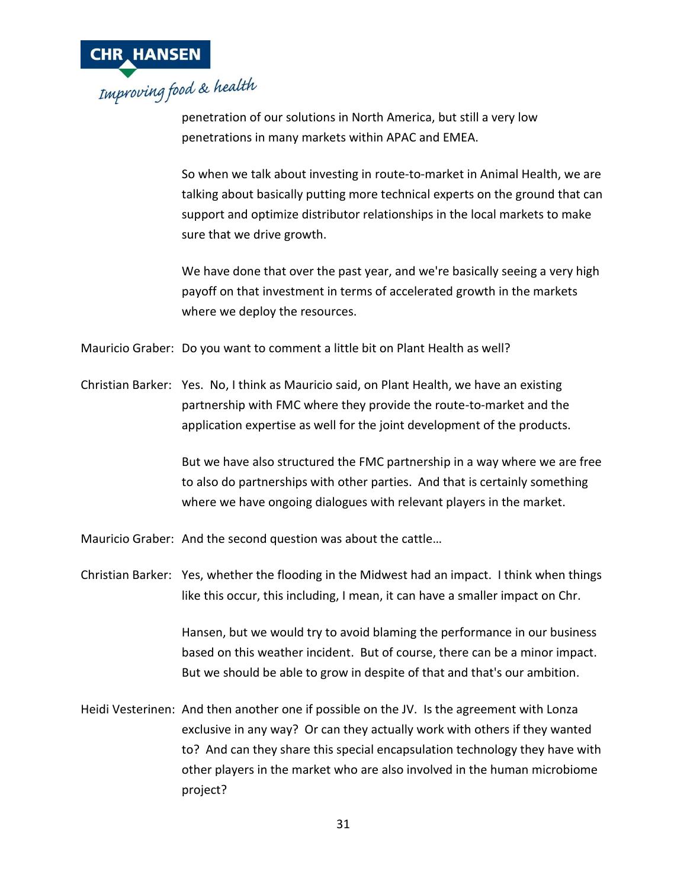

penetration of our solutions in North America, but still a very low penetrations in many markets within APAC and EMEA.

So when we talk about investing in route-to-market in Animal Health, we are talking about basically putting more technical experts on the ground that can support and optimize distributor relationships in the local markets to make sure that we drive growth.

We have done that over the past year, and we're basically seeing a very high payoff on that investment in terms of accelerated growth in the markets where we deploy the resources.

Mauricio Graber: Do you want to comment a little bit on Plant Health as well?

Christian Barker: Yes. No, I think as Mauricio said, on Plant Health, we have an existing partnership with FMC where they provide the route-to-market and the application expertise as well for the joint development of the products.

> But we have also structured the FMC partnership in a way where we are free to also do partnerships with other parties. And that is certainly something where we have ongoing dialogues with relevant players in the market.

Mauricio Graber: And the second question was about the cattle…

Christian Barker: Yes, whether the flooding in the Midwest had an impact. I think when things like this occur, this including, I mean, it can have a smaller impact on Chr.

> Hansen, but we would try to avoid blaming the performance in our business based on this weather incident. But of course, there can be a minor impact. But we should be able to grow in despite of that and that's our ambition.

Heidi Vesterinen: And then another one if possible on the JV. Is the agreement with Lonza exclusive in any way? Or can they actually work with others if they wanted to? And can they share this special encapsulation technology they have with other players in the market who are also involved in the human microbiome project?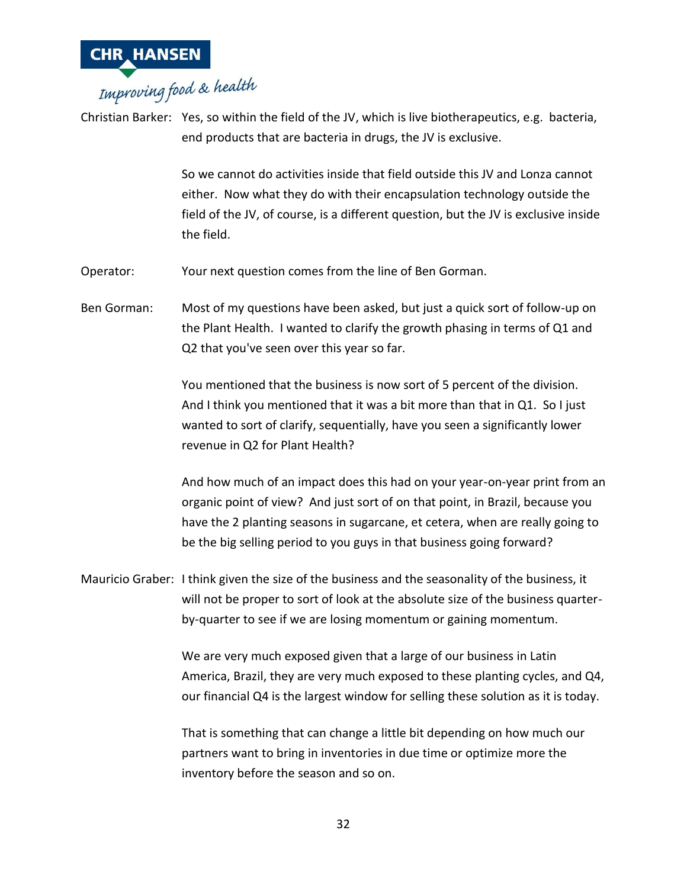

# **CHR HANSEN**<br>Improving food & health

Christian Barker: Yes, so within the field of the JV, which is live biotherapeutics, e.g. bacteria, end products that are bacteria in drugs, the JV is exclusive.

> So we cannot do activities inside that field outside this JV and Lonza cannot either. Now what they do with their encapsulation technology outside the field of the JV, of course, is a different question, but the JV is exclusive inside the field.

Operator: Your next question comes from the line of Ben Gorman.

Ben Gorman: Most of my questions have been asked, but just a quick sort of follow-up on the Plant Health. I wanted to clarify the growth phasing in terms of Q1 and Q2 that you've seen over this year so far.

> You mentioned that the business is now sort of 5 percent of the division. And I think you mentioned that it was a bit more than that in Q1. So I just wanted to sort of clarify, sequentially, have you seen a significantly lower revenue in Q2 for Plant Health?

And how much of an impact does this had on your year-on-year print from an organic point of view? And just sort of on that point, in Brazil, because you have the 2 planting seasons in sugarcane, et cetera, when are really going to be the big selling period to you guys in that business going forward?

Mauricio Graber: I think given the size of the business and the seasonality of the business, it will not be proper to sort of look at the absolute size of the business quarterby-quarter to see if we are losing momentum or gaining momentum.

> We are very much exposed given that a large of our business in Latin America, Brazil, they are very much exposed to these planting cycles, and Q4, our financial Q4 is the largest window for selling these solution as it is today.

That is something that can change a little bit depending on how much our partners want to bring in inventories in due time or optimize more the inventory before the season and so on.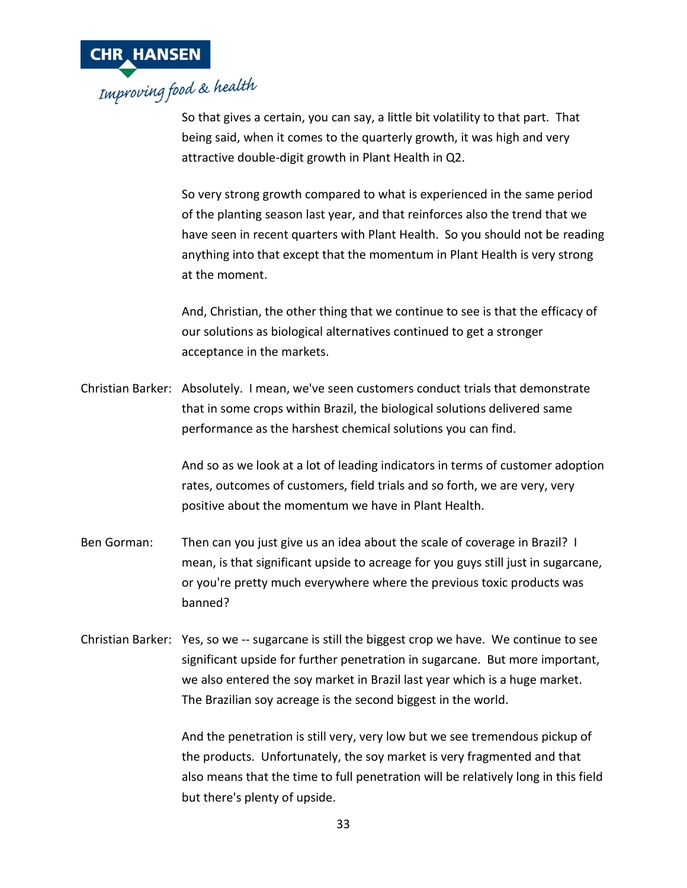

So that gives a certain, you can say, a little bit volatility to that part. That being said, when it comes to the quarterly growth, it was high and very attractive double-digit growth in Plant Health in Q2.

So very strong growth compared to what is experienced in the same period of the planting season last year, and that reinforces also the trend that we have seen in recent quarters with Plant Health. So you should not be reading anything into that except that the momentum in Plant Health is very strong at the moment.

And, Christian, the other thing that we continue to see is that the efficacy of our solutions as biological alternatives continued to get a stronger acceptance in the markets.

Christian Barker: Absolutely. I mean, we've seen customers conduct trials that demonstrate that in some crops within Brazil, the biological solutions delivered same performance as the harshest chemical solutions you can find.

> And so as we look at a lot of leading indicators in terms of customer adoption rates, outcomes of customers, field trials and so forth, we are very, very positive about the momentum we have in Plant Health.

- Ben Gorman: Then can you just give us an idea about the scale of coverage in Brazil? I mean, is that significant upside to acreage for you guys still just in sugarcane, or you're pretty much everywhere where the previous toxic products was banned?
- Christian Barker: Yes, so we -- sugarcane is still the biggest crop we have. We continue to see significant upside for further penetration in sugarcane. But more important, we also entered the soy market in Brazil last year which is a huge market. The Brazilian soy acreage is the second biggest in the world.

And the penetration is still very, very low but we see tremendous pickup of the products. Unfortunately, the soy market is very fragmented and that also means that the time to full penetration will be relatively long in this field but there's plenty of upside.